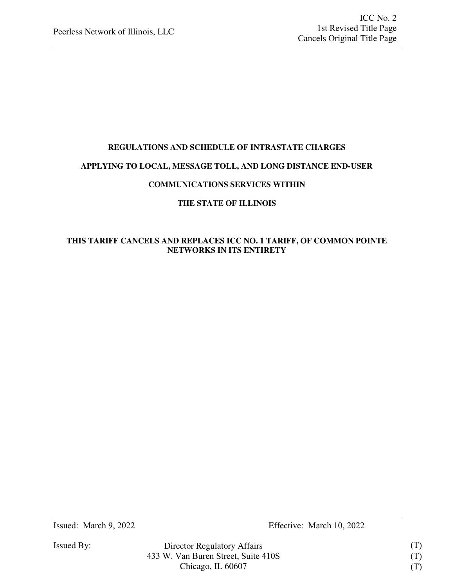### **REGULATIONS AND SCHEDULE OF INTRASTATE CHARGES**

### **APPLYING TO LOCAL, MESSAGE TOLL, AND LONG DISTANCE END-USER**

### **COMMUNICATIONS SERVICES WITHIN**

### **THE STATE OF ILLINOIS**

### **THIS TARIFF CANCELS AND REPLACES ICC NO. 1 TARIFF, OF COMMON POINTE NETWORKS IN ITS ENTIRETY**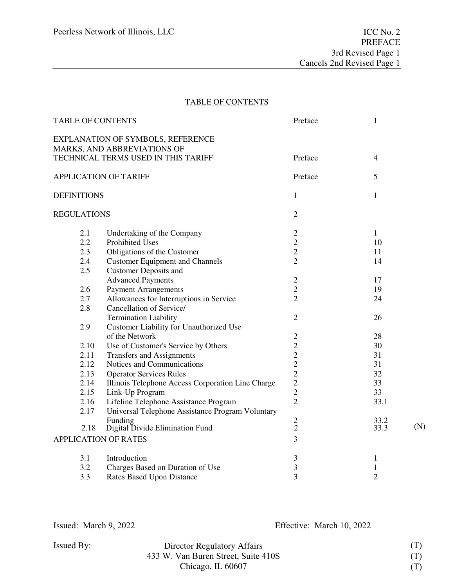### TABLE OF CONTENTS

| <b>TABLE OF CONTENTS</b>     |                                                                  | Preface                 | $\mathbf{1}$     |     |
|------------------------------|------------------------------------------------------------------|-------------------------|------------------|-----|
|                              | EXPLANATION OF SYMBOLS, REFERENCE<br>MARKS, AND ABBREVIATIONS OF |                         |                  |     |
|                              | TECHNICAL TERMS USED IN THIS TARIFF                              | Preface                 | $\overline{4}$   |     |
| <b>APPLICATION OF TARIFF</b> |                                                                  | Preface                 | 5                |     |
| <b>DEFINITIONS</b>           |                                                                  | $\mathbf{1}$            | $\mathbf{1}$     |     |
| <b>REGULATIONS</b>           |                                                                  | $\overline{2}$          |                  |     |
| 2.1                          | Undertaking of the Company                                       | $\mathbf{2}$            | $\mathbf{1}$     |     |
| 2.2                          | <b>Prohibited Uses</b>                                           | $\overline{c}$          | 10               |     |
| 2.3                          | Obligations of the Customer                                      | $\sqrt{2}$              | 11               |     |
| 2.4                          | <b>Customer Equipment and Channels</b>                           | $\overline{2}$          | 14               |     |
| 2.5                          | <b>Customer Deposits and</b>                                     |                         |                  |     |
|                              | <b>Advanced Payments</b>                                         | $\mathbf{2}$            | 17               |     |
| 2.6                          | <b>Payment Arrangements</b>                                      | $\sqrt{2}$              | 19               |     |
| 2.7                          | Allowances for Interruptions in Service                          | $\overline{2}$          | 24               |     |
| 2.8                          | Cancellation of Service/                                         |                         |                  |     |
|                              | <b>Termination Liability</b>                                     | $\overline{2}$          | 26               |     |
| 2.9                          | Customer Liability for Unauthorized Use                          |                         |                  |     |
|                              | of the Network                                                   | $\mathbf{2}$            | 28               |     |
| 2.10                         | Use of Customer's Service by Others                              | $\overline{2}$          | 30               |     |
| 2.11                         | <b>Transfers and Assignments</b>                                 | $\overline{c}$          | 31               |     |
| 2.12                         | Notices and Communications                                       | $\overline{c}$          | 31               |     |
| 2.13                         | <b>Operator Services Rules</b>                                   | $\overline{c}$          | 32               |     |
| 2.14                         | Illinois Telephone Access Corporation Line Charge                | $\overline{2}$          | 33               |     |
| 2.15                         | Link-Up Program                                                  | $\overline{c}$          | 33               |     |
| 2.16                         | Lifeline Telephone Assistance Program                            | $\overline{2}$          | 33.1             |     |
| 2.17                         | Universal Telephone Assistance Program Voluntary                 |                         |                  |     |
| 2.18                         | Funding<br>Digital Divide Elimination Fund                       | $\frac{2}{2}$           | $33.2$<br>$33.3$ | (N) |
|                              | <b>APPLICATION OF RATES</b>                                      | 3                       |                  |     |
| 3.1                          | Introduction                                                     | $\mathfrak 3$           | $\mathbf{1}$     |     |
| 3.2                          | Charges Based on Duration of Use                                 | $\overline{\mathbf{3}}$ | $\mathbf{1}$     |     |
| 3.3                          | <b>Rates Based Upon Distance</b>                                 | 3                       | $\overline{2}$   |     |
|                              |                                                                  |                         |                  |     |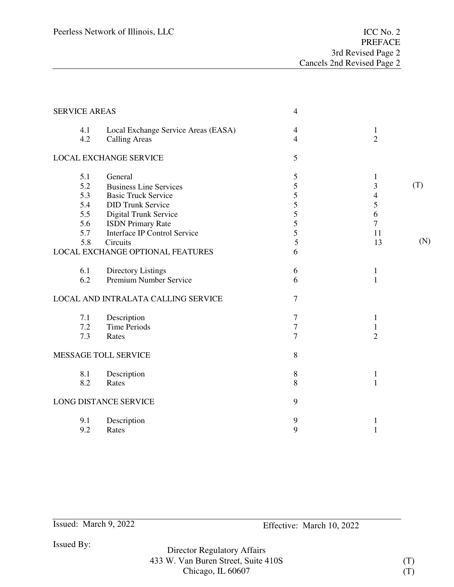| <b>SERVICE AREAS</b> |                                     | $\overline{4}$ |                |     |
|----------------------|-------------------------------------|----------------|----------------|-----|
| 4.1                  | Local Exchange Service Areas (EASA) | $\overline{4}$ | $\mathbf{1}$   |     |
| 4.2                  | <b>Calling Areas</b>                | $\overline{4}$ | $\overline{2}$ |     |
|                      | <b>LOCAL EXCHANGE SERVICE</b>       | 5              |                |     |
| 5.1                  | General                             | 5              | $\mathbf 1$    |     |
| 5.2                  | <b>Business Line Services</b>       | 5              | 3              | (T) |
| 5.3                  | <b>Basic Truck Service</b>          | 5              | 4              |     |
| 5.4                  | <b>DID Trunk Service</b>            | 5              | 5              |     |
| 5.5                  | Digital Trunk Service               | 5              | 6              |     |
| 5.6                  | <b>ISDN</b> Primary Rate            | 5              | 7              |     |
| 5.7                  | Interface IP Control Service        | 5              | 11             |     |
| 5.8                  | Circuits                            | 5              | 13             | (N) |
|                      | LOCAL EXCHANGE OPTIONAL FEATURES    | 6              |                |     |
| 6.1                  | Directory Listings                  | 6              | $\mathbf{1}$   |     |
| 6.2                  | Premium Number Service              | 6              | $\mathbf{1}$   |     |
|                      | LOCAL AND INTRALATA CALLING SERVICE | $\tau$         |                |     |
| 7.1                  | Description                         | 7              | $\mathbf{1}$   |     |
| 7.2                  | <b>Time Periods</b>                 | $\overline{7}$ | 1              |     |
| 7.3                  | Rates                               | 7              | $\overline{2}$ |     |
|                      | MESSAGE TOLL SERVICE                | 8              |                |     |
| 8.1                  | Description                         | $\,$ 8 $\,$    | $\mathbf{1}$   |     |
| 8.2                  | Rates                               | 8              | $\mathbf{1}$   |     |
|                      | LONG DISTANCE SERVICE               | 9              |                |     |
| 9.1                  | Description                         | 9              | 1              |     |
| 9.2                  | Rates                               | 9              | $\mathbf{1}$   |     |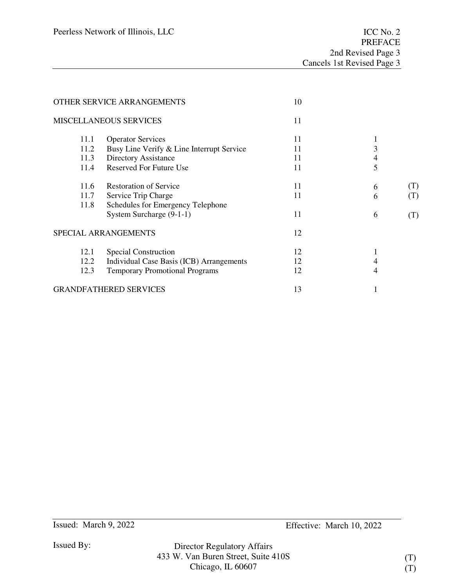|      | OTHER SERVICE ARRANGEMENTS                | 10 |   |     |
|------|-------------------------------------------|----|---|-----|
|      | <b>MISCELLANEOUS SERVICES</b>             | 11 |   |     |
| 11.1 | <b>Operator Services</b>                  | 11 |   |     |
| 11.2 | Busy Line Verify & Line Interrupt Service | 11 | 3 |     |
| 11.3 | Directory Assistance                      | 11 | 4 |     |
| 11.4 | <b>Reserved For Future Use</b>            | 11 | 5 |     |
| 11.6 | <b>Restoration of Service</b>             | 11 | 6 | (T) |
| 11.7 | Service Trip Charge                       | 11 | 6 | (T) |
| 11.8 | Schedules for Emergency Telephone         |    |   |     |
|      | System Surcharge (9-1-1)                  | 11 | 6 | (T) |
|      | SPECIAL ARRANGEMENTS                      | 12 |   |     |
| 12.1 | Special Construction                      | 12 |   |     |
| 12.2 | Individual Case Basis (ICB) Arrangements  | 12 |   |     |
| 12.3 | <b>Temporary Promotional Programs</b>     | 12 | 4 |     |
|      | <b>GRANDFATHERED SERVICES</b>             | 13 |   |     |
|      |                                           |    |   |     |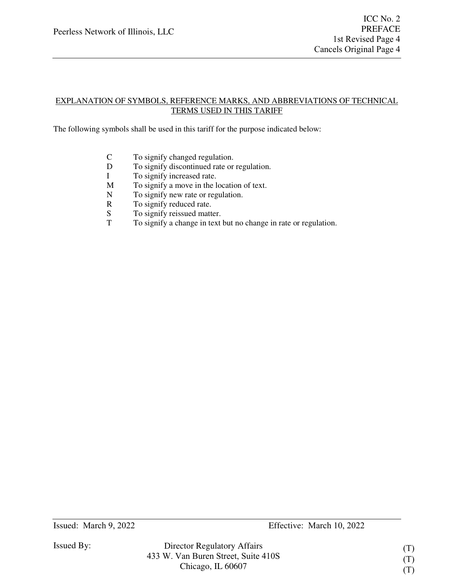### EXPLANATION OF SYMBOLS, REFERENCE MARKS, AND ABBREVIATIONS OF TECHNICAL TERMS USED IN THIS TARIFF

The following symbols shall be used in this tariff for the purpose indicated below:

- C To signify changed regulation.
- D To signify discontinued rate or regulation.
- I To signify increased rate.
- M To signify a move in the location of text.
- N To signify new rate or regulation.
- R To signify reduced rate.
- S To signify reissued matter.<br>T To signify a change in text
- To signify a change in text but no change in rate or regulation.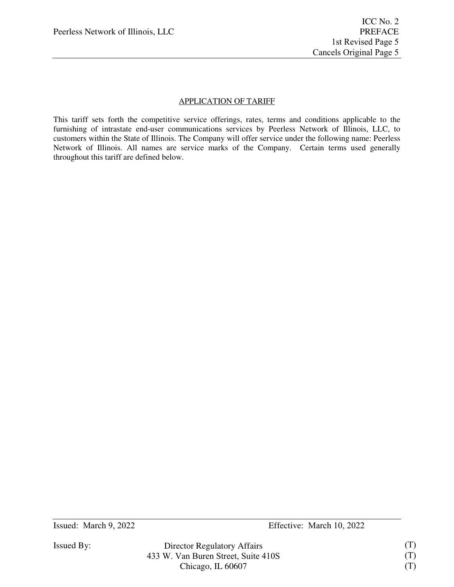### APPLICATION OF TARIFF

This tariff sets forth the competitive service offerings, rates, terms and conditions applicable to the furnishing of intrastate end-user communications services by Peerless Network of Illinois, LLC, to customers within the State of Illinois. The Company will offer service under the following name: Peerless Network of Illinois. All names are service marks of the Company. Certain terms used generally throughout this tariff are defined below.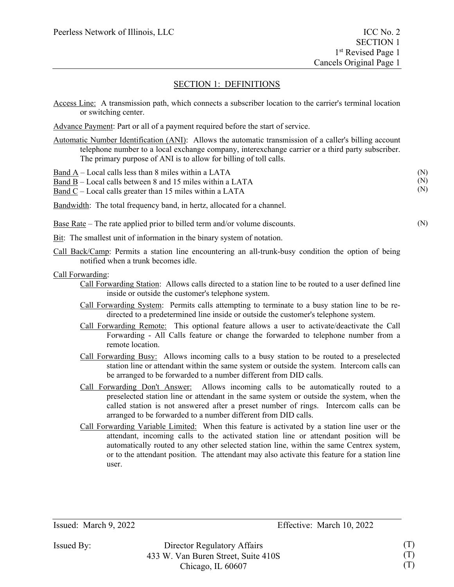Access Line: A transmission path, which connects a subscriber location to the carrier's terminal location or switching center.

Advance Payment: Part or all of a payment required before the start of service.

Automatic Number Identification (ANI): Allows the automatic transmission of a caller's billing account telephone number to a local exchange company, interexchange carrier or a third party subscriber. The primary purpose of ANI is to allow for billing of toll calls.

|  | Band A – Local calls less than 8 miles within a LATA |  |  |  |  |  |
|--|------------------------------------------------------|--|--|--|--|--|
|--|------------------------------------------------------|--|--|--|--|--|

Band B – Local calls between 8 and 15 miles within a LATA

Band C – Local calls greater than 15 miles within a LATA

Bandwidth: The total frequency band, in hertz, allocated for a channel.

Base Rate – The rate applied prior to billed term and/or volume discounts.

Bit: The smallest unit of information in the binary system of notation.

Call Back/Camp: Permits a station line encountering an all-trunk-busy condition the option of being notified when a trunk becomes idle.

Call Forwarding:

- Call Forwarding Station: Allows calls directed to a station line to be routed to a user defined line inside or outside the customer's telephone system.
- Call Forwarding System: Permits calls attempting to terminate to a busy station line to be redirected to a predetermined line inside or outside the customer's telephone system.
- Call Forwarding Remote: This optional feature allows a user to activate/deactivate the Call Forwarding - All Calls feature or change the forwarded to telephone number from a remote location.
- Call Forwarding Busy: Allows incoming calls to a busy station to be routed to a preselected station line or attendant within the same system or outside the system. Intercom calls can be arranged to be forwarded to a number different from DID calls.
- Call Forwarding Don't Answer: Allows incoming calls to be automatically routed to a preselected station line or attendant in the same system or outside the system, when the called station is not answered after a preset number of rings. Intercom calls can be arranged to be forwarded to a number different from DID calls.
- Call Forwarding Variable Limited: When this feature is activated by a station line user or the attendant, incoming calls to the activated station line or attendant position will be automatically routed to any other selected station line, within the same Centrex system, or to the attendant position. The attendant may also activate this feature for a station line user.

Issued By: Director Regulatory Affairs 433 W. Van Buren Street, Suite 410S Chicago, IL 60607

(N) (N) (N)

(N)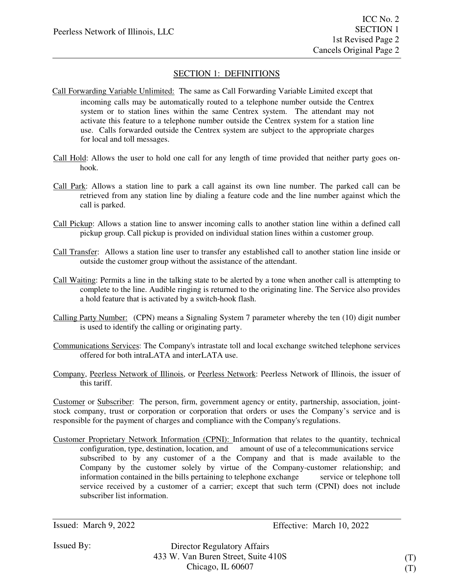- Call Forwarding Variable Unlimited: The same as Call Forwarding Variable Limited except that incoming calls may be automatically routed to a telephone number outside the Centrex system or to station lines within the same Centrex system. The attendant may not activate this feature to a telephone number outside the Centrex system for a station line use. Calls forwarded outside the Centrex system are subject to the appropriate charges for local and toll messages.
- Call Hold: Allows the user to hold one call for any length of time provided that neither party goes onhook.
- Call Park: Allows a station line to park a call against its own line number. The parked call can be retrieved from any station line by dialing a feature code and the line number against which the call is parked.
- Call Pickup: Allows a station line to answer incoming calls to another station line within a defined call pickup group. Call pickup is provided on individual station lines within a customer group.
- Call Transfer: Allows a station line user to transfer any established call to another station line inside or outside the customer group without the assistance of the attendant.
- Call Waiting: Permits a line in the talking state to be alerted by a tone when another call is attempting to complete to the line. Audible ringing is returned to the originating line. The Service also provides a hold feature that is activated by a switch-hook flash.
- Calling Party Number: (CPN) means a Signaling System 7 parameter whereby the ten (10) digit number is used to identify the calling or originating party.
- Communications Services: The Company's intrastate toll and local exchange switched telephone services offered for both intraLATA and interLATA use.
- Company, Peerless Network of Illinois, or Peerless Network: Peerless Network of Illinois, the issuer of this tariff.

Customer or Subscriber: The person, firm, government agency or entity, partnership, association, jointstock company, trust or corporation or corporation that orders or uses the Company's service and is responsible for the payment of charges and compliance with the Company's regulations.

Customer Proprietary Network Information (CPNI): Information that relates to the quantity, technical configuration, type, destination, location, and amount of use of a telecommunications service subscribed to by any customer of a the Company and that is made available to the Company by the customer solely by virtue of the Company-customer relationship; and information contained in the bills pertaining to telephone exchange service or telephone toll service received by a customer of a carrier; except that such term (CPNI) does not include subscriber list information.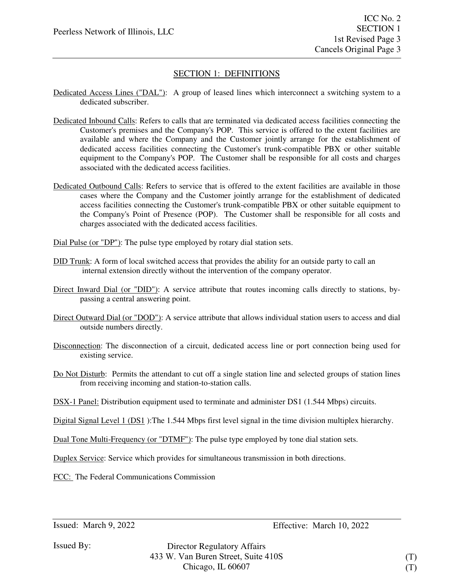- Dedicated Access Lines ("DAL"): A group of leased lines which interconnect a switching system to a dedicated subscriber.
- Dedicated Inbound Calls: Refers to calls that are terminated via dedicated access facilities connecting the Customer's premises and the Company's POP. This service is offered to the extent facilities are available and where the Company and the Customer jointly arrange for the establishment of dedicated access facilities connecting the Customer's trunk-compatible PBX or other suitable equipment to the Company's POP. The Customer shall be responsible for all costs and charges associated with the dedicated access facilities.
- Dedicated Outbound Calls: Refers to service that is offered to the extent facilities are available in those cases where the Company and the Customer jointly arrange for the establishment of dedicated access facilities connecting the Customer's trunk-compatible PBX or other suitable equipment to the Company's Point of Presence (POP). The Customer shall be responsible for all costs and charges associated with the dedicated access facilities.
- Dial Pulse (or "DP"): The pulse type employed by rotary dial station sets.
- DID Trunk: A form of local switched access that provides the ability for an outside party to call an internal extension directly without the intervention of the company operator.
- Direct Inward Dial (or "DID"): A service attribute that routes incoming calls directly to stations, bypassing a central answering point.
- Direct Outward Dial (or "DOD"): A service attribute that allows individual station users to access and dial outside numbers directly.
- Disconnection: The disconnection of a circuit, dedicated access line or port connection being used for existing service.
- Do Not Disturb: Permits the attendant to cut off a single station line and selected groups of station lines from receiving incoming and station-to-station calls.
- DSX-1 Panel: Distribution equipment used to terminate and administer DS1 (1.544 Mbps) circuits.

Digital Signal Level 1 (DS1 ):The 1.544 Mbps first level signal in the time division multiplex hierarchy.

Dual Tone Multi-Frequency (or "DTMF"): The pulse type employed by tone dial station sets.

Duplex Service: Service which provides for simultaneous transmission in both directions.

FCC: The Federal Communications Commission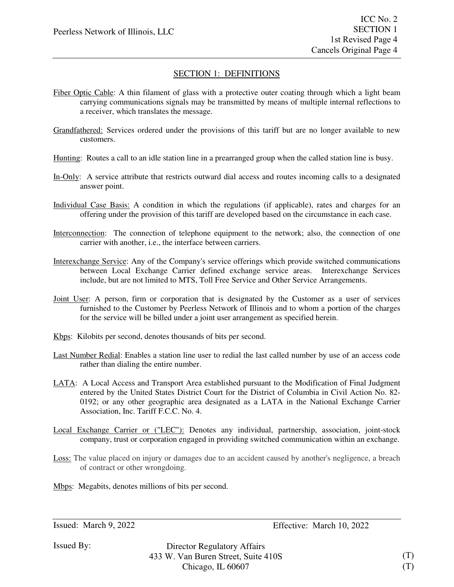- Fiber Optic Cable: A thin filament of glass with a protective outer coating through which a light beam carrying communications signals may be transmitted by means of multiple internal reflections to a receiver, which translates the message.
- Grandfathered: Services ordered under the provisions of this tariff but are no longer available to new customers.
- Hunting: Routes a call to an idle station line in a prearranged group when the called station line is busy.
- In-Only: A service attribute that restricts outward dial access and routes incoming calls to a designated answer point.
- Individual Case Basis: A condition in which the regulations (if applicable), rates and charges for an offering under the provision of this tariff are developed based on the circumstance in each case.
- Interconnection: The connection of telephone equipment to the network; also, the connection of one carrier with another, i.e., the interface between carriers.
- Interexchange Service: Any of the Company's service offerings which provide switched communications between Local Exchange Carrier defined exchange service areas. Interexchange Services include, but are not limited to MTS, Toll Free Service and Other Service Arrangements.
- Joint User: A person, firm or corporation that is designated by the Customer as a user of services furnished to the Customer by Peerless Network of Illinois and to whom a portion of the charges for the service will be billed under a joint user arrangement as specified herein.
- Kbps: Kilobits per second, denotes thousands of bits per second.
- Last Number Redial: Enables a station line user to redial the last called number by use of an access code rather than dialing the entire number.
- LATA: A Local Access and Transport Area established pursuant to the Modification of Final Judgment entered by the United States District Court for the District of Columbia in Civil Action No. 82- 0192; or any other geographic area designated as a LATA in the National Exchange Carrier Association, Inc. Tariff F.C.C. No. 4.
- Local Exchange Carrier or ("LEC"): Denotes any individual, partnership, association, joint-stock company, trust or corporation engaged in providing switched communication within an exchange.
- Loss: The value placed on injury or damages due to an accident caused by another's negligence, a breach of contract or other wrongdoing.
- Mbps: Megabits, denotes millions of bits per second.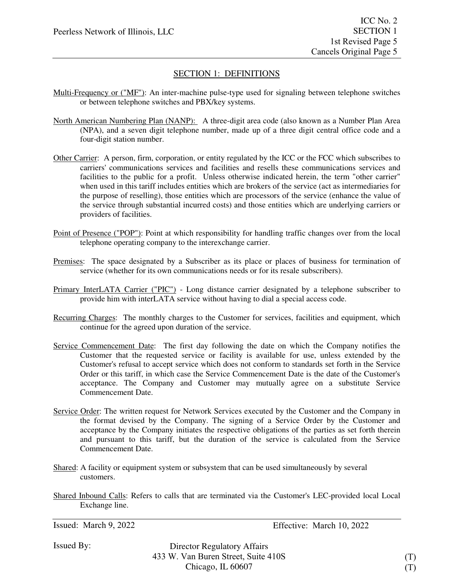- Multi-Frequency or ("MF"): An inter-machine pulse-type used for signaling between telephone switches or between telephone switches and PBX/key systems.
- North American Numbering Plan (NANP): A three-digit area code (also known as a Number Plan Area (NPA), and a seven digit telephone number, made up of a three digit central office code and a four-digit station number.
- Other Carrier: A person, firm, corporation, or entity regulated by the ICC or the FCC which subscribes to carriers' communications services and facilities and resells these communications services and facilities to the public for a profit. Unless otherwise indicated herein, the term "other carrier" when used in this tariff includes entities which are brokers of the service (act as intermediaries for the purpose of reselling), those entities which are processors of the service (enhance the value of the service through substantial incurred costs) and those entities which are underlying carriers or providers of facilities.
- Point of Presence ("POP"): Point at which responsibility for handling traffic changes over from the local telephone operating company to the interexchange carrier.
- Premises: The space designated by a Subscriber as its place or places of business for termination of service (whether for its own communications needs or for its resale subscribers).
- Primary InterLATA Carrier ("PIC") Long distance carrier designated by a telephone subscriber to provide him with interLATA service without having to dial a special access code.
- Recurring Charges: The monthly charges to the Customer for services, facilities and equipment, which continue for the agreed upon duration of the service.
- Service Commencement Date: The first day following the date on which the Company notifies the Customer that the requested service or facility is available for use, unless extended by the Customer's refusal to accept service which does not conform to standards set forth in the Service Order or this tariff, in which case the Service Commencement Date is the date of the Customer's acceptance. The Company and Customer may mutually agree on a substitute Service Commencement Date.
- Service Order: The written request for Network Services executed by the Customer and the Company in the format devised by the Company. The signing of a Service Order by the Customer and acceptance by the Company initiates the respective obligations of the parties as set forth therein and pursuant to this tariff, but the duration of the service is calculated from the Service Commencement Date.
- Shared: A facility or equipment system or subsystem that can be used simultaneously by several customers.
- Shared Inbound Calls: Refers to calls that are terminated via the Customer's LEC-provided local Local Exchange line.

```
Issued: March 9, 2022 Effective: March 10, 2022
```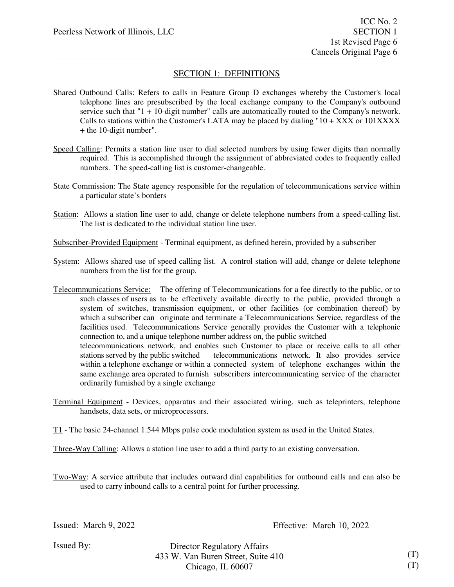- Shared Outbound Calls: Refers to calls in Feature Group D exchanges whereby the Customer's local telephone lines are presubscribed by the local exchange company to the Company's outbound service such that "1 + 10-digit number" calls are automatically routed to the Company's network. Calls to stations within the Customer's LATA may be placed by dialing " $10 + XXX$  or  $101XXXX$ + the 10-digit number".
- Speed Calling: Permits a station line user to dial selected numbers by using fewer digits than normally required. This is accomplished through the assignment of abbreviated codes to frequently called numbers. The speed-calling list is customer-changeable.
- State Commission: The State agency responsible for the regulation of telecommunications service within a particular state's borders
- Station: Allows a station line user to add, change or delete telephone numbers from a speed-calling list. The list is dedicated to the individual station line user.

Subscriber-Provided Equipment - Terminal equipment, as defined herein, provided by a subscriber

- System: Allows shared use of speed calling list. A control station will add, change or delete telephone numbers from the list for the group.
- Telecommunications Service: The offering of Telecommunications for a fee directly to the public, or to such classes of users as to be effectively available directly to the public, provided through a system of switches, transmission equipment, or other facilities (or combination thereof) by which a subscriber can originate and terminate a Telecommunications Service, regardless of the facilities used. Telecommunications Service generally provides the Customer with a telephonic connection to, and a unique telephone number address on, the public switched telecommunications network, and enables such Customer to place or receive calls to all other stations served by the public switched telecommunications network. It also provides service within a telephone exchange or within a connected system of telephone exchanges within the same exchange area operated to furnish subscribers intercommunicating service of the character ordinarily furnished by a single exchange
- Terminal Equipment Devices, apparatus and their associated wiring, such as teleprinters, telephone handsets, data sets, or microprocessors.
- T1 The basic 24-channel 1.544 Mbps pulse code modulation system as used in the United States.
- Three-Way Calling: Allows a station line user to add a third party to an existing conversation.

Two-Way: A service attribute that includes outward dial capabilities for outbound calls and can also be used to carry inbound calls to a central point for further processing.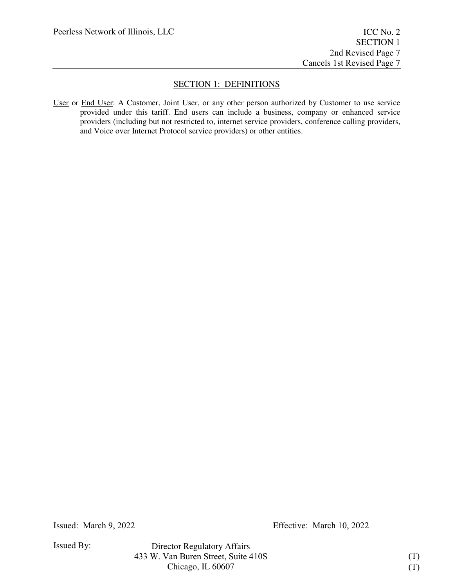User or End User: A Customer, Joint User, or any other person authorized by Customer to use service provided under this tariff. End users can include a business, company or enhanced service providers (including but not restricted to, internet service providers, conference calling providers, and Voice over Internet Protocol service providers) or other entities.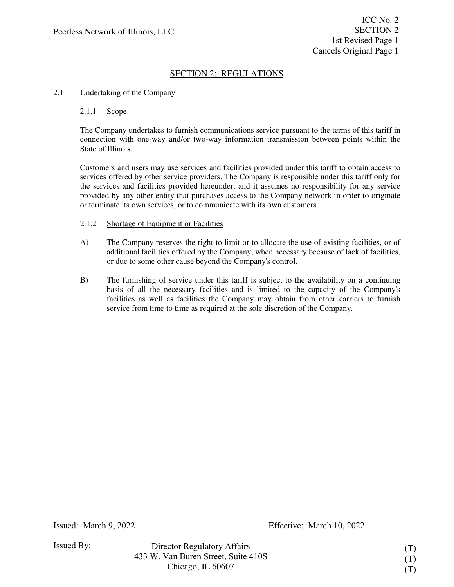#### 2.1 Undertaking of the Company

#### 2.1.1 Scope

The Company undertakes to furnish communications service pursuant to the terms of this tariff in connection with one-way and/or two-way information transmission between points within the State of Illinois.

Customers and users may use services and facilities provided under this tariff to obtain access to services offered by other service providers. The Company is responsible under this tariff only for the services and facilities provided hereunder, and it assumes no responsibility for any service provided by any other entity that purchases access to the Company network in order to originate or terminate its own services, or to communicate with its own customers.

#### 2.1.2 Shortage of Equipment or Facilities

- A) The Company reserves the right to limit or to allocate the use of existing facilities, or of additional facilities offered by the Company, when necessary because of lack of facilities, or due to some other cause beyond the Company's control.
- B) The furnishing of service under this tariff is subject to the availability on a continuing basis of all the necessary facilities and is limited to the capacity of the Company's facilities as well as facilities the Company may obtain from other carriers to furnish service from time to time as required at the sole discretion of the Company.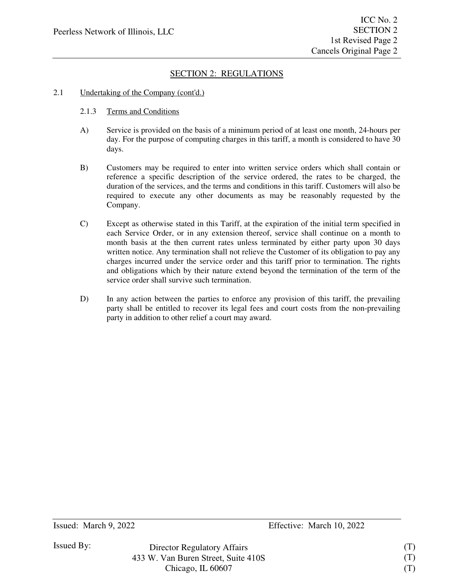### 2.1 Undertaking of the Company (cont'd.)

### 2.1.3 Terms and Conditions

- A) Service is provided on the basis of a minimum period of at least one month, 24-hours per day. For the purpose of computing charges in this tariff, a month is considered to have 30 days.
- B) Customers may be required to enter into written service orders which shall contain or reference a specific description of the service ordered, the rates to be charged, the duration of the services, and the terms and conditions in this tariff. Customers will also be required to execute any other documents as may be reasonably requested by the Company.
- C) Except as otherwise stated in this Tariff, at the expiration of the initial term specified in each Service Order, or in any extension thereof, service shall continue on a month to month basis at the then current rates unless terminated by either party upon 30 days written notice. Any termination shall not relieve the Customer of its obligation to pay any charges incurred under the service order and this tariff prior to termination. The rights and obligations which by their nature extend beyond the termination of the term of the service order shall survive such termination.
- D) In any action between the parties to enforce any provision of this tariff, the prevailing party shall be entitled to recover its legal fees and court costs from the non-prevailing party in addition to other relief a court may award.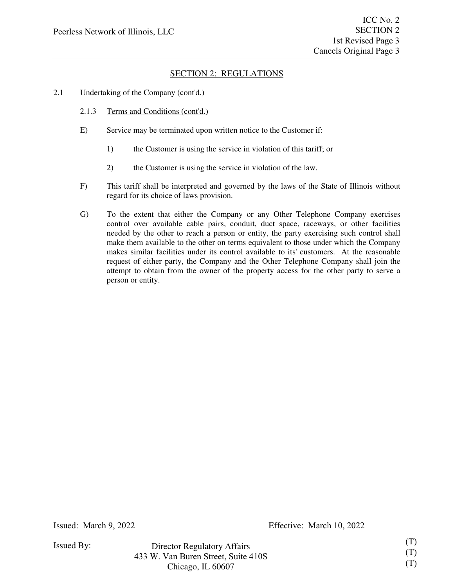- 2.1 Undertaking of the Company (cont'd.)
	- 2.1.3 Terms and Conditions (cont'd.)
	- E) Service may be terminated upon written notice to the Customer if:
		- 1) the Customer is using the service in violation of this tariff; or
		- 2) the Customer is using the service in violation of the law.
	- F) This tariff shall be interpreted and governed by the laws of the State of Illinois without regard for its choice of laws provision.
	- G) To the extent that either the Company or any Other Telephone Company exercises control over available cable pairs, conduit, duct space, raceways, or other facilities needed by the other to reach a person or entity, the party exercising such control shall make them available to the other on terms equivalent to those under which the Company makes similar facilities under its control available to its' customers. At the reasonable request of either party, the Company and the Other Telephone Company shall join the attempt to obtain from the owner of the property access for the other party to serve a person or entity.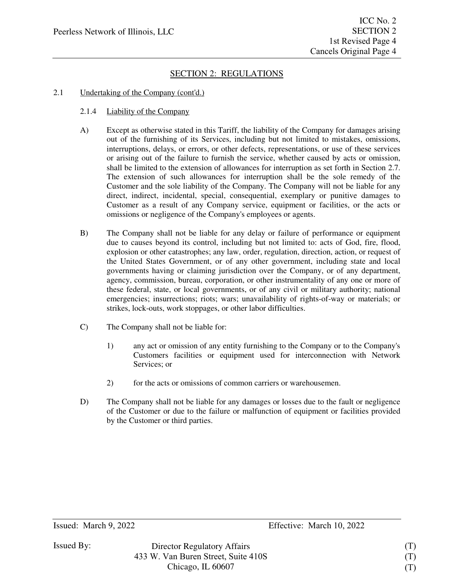### 2.1 Undertaking of the Company (cont'd.)

#### 2.1.4 Liability of the Company

- A) Except as otherwise stated in this Tariff, the liability of the Company for damages arising out of the furnishing of its Services, including but not limited to mistakes, omissions, interruptions, delays, or errors, or other defects, representations, or use of these services or arising out of the failure to furnish the service, whether caused by acts or omission, shall be limited to the extension of allowances for interruption as set forth in Section 2.7. The extension of such allowances for interruption shall be the sole remedy of the Customer and the sole liability of the Company. The Company will not be liable for any direct, indirect, incidental, special, consequential, exemplary or punitive damages to Customer as a result of any Company service, equipment or facilities, or the acts or omissions or negligence of the Company's employees or agents.
- B) The Company shall not be liable for any delay or failure of performance or equipment due to causes beyond its control, including but not limited to: acts of God, fire, flood, explosion or other catastrophes; any law, order, regulation, direction, action, or request of the United States Government, or of any other government, including state and local governments having or claiming jurisdiction over the Company, or of any department, agency, commission, bureau, corporation, or other instrumentality of any one or more of these federal, state, or local governments, or of any civil or military authority; national emergencies; insurrections; riots; wars; unavailability of rights-of-way or materials; or strikes, lock-outs, work stoppages, or other labor difficulties.
- C) The Company shall not be liable for:
	- 1) any act or omission of any entity furnishing to the Company or to the Company's Customers facilities or equipment used for interconnection with Network Services; or
	- 2) for the acts or omissions of common carriers or warehousemen.
- D) The Company shall not be liable for any damages or losses due to the fault or negligence of the Customer or due to the failure or malfunction of equipment or facilities provided by the Customer or third parties.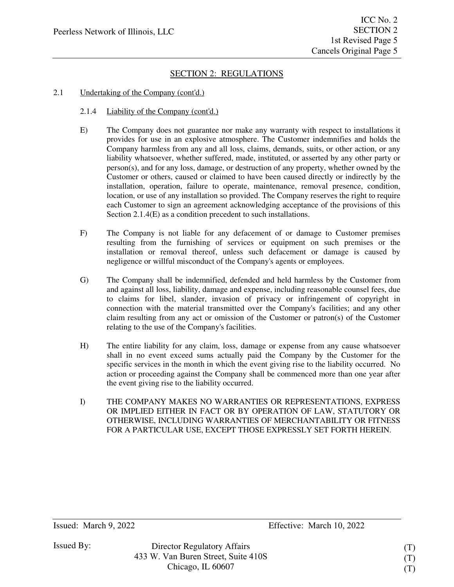#### 2.1 Undertaking of the Company (cont'd.)

#### 2.1.4 Liability of the Company (cont'd.)

- E) The Company does not guarantee nor make any warranty with respect to installations it provides for use in an explosive atmosphere. The Customer indemnifies and holds the Company harmless from any and all loss, claims, demands, suits, or other action, or any liability whatsoever, whether suffered, made, instituted, or asserted by any other party or person(s), and for any loss, damage, or destruction of any property, whether owned by the Customer or others, caused or claimed to have been caused directly or indirectly by the installation, operation, failure to operate, maintenance, removal presence, condition, location, or use of any installation so provided. The Company reserves the right to require each Customer to sign an agreement acknowledging acceptance of the provisions of this Section 2.1.4(E) as a condition precedent to such installations.
- F) The Company is not liable for any defacement of or damage to Customer premises resulting from the furnishing of services or equipment on such premises or the installation or removal thereof, unless such defacement or damage is caused by negligence or willful misconduct of the Company's agents or employees.
- G) The Company shall be indemnified, defended and held harmless by the Customer from and against all loss, liability, damage and expense, including reasonable counsel fees, due to claims for libel, slander, invasion of privacy or infringement of copyright in connection with the material transmitted over the Company's facilities; and any other claim resulting from any act or omission of the Customer or patron(s) of the Customer relating to the use of the Company's facilities.
- H) The entire liability for any claim, loss, damage or expense from any cause whatsoever shall in no event exceed sums actually paid the Company by the Customer for the specific services in the month in which the event giving rise to the liability occurred. No action or proceeding against the Company shall be commenced more than one year after the event giving rise to the liability occurred.
- I) THE COMPANY MAKES NO WARRANTIES OR REPRESENTATIONS, EXPRESS OR IMPLIED EITHER IN FACT OR BY OPERATION OF LAW, STATUTORY OR OTHERWISE, INCLUDING WARRANTIES OF MERCHANTABILITY OR FITNESS FOR A PARTICULAR USE, EXCEPT THOSE EXPRESSLY SET FORTH HEREIN.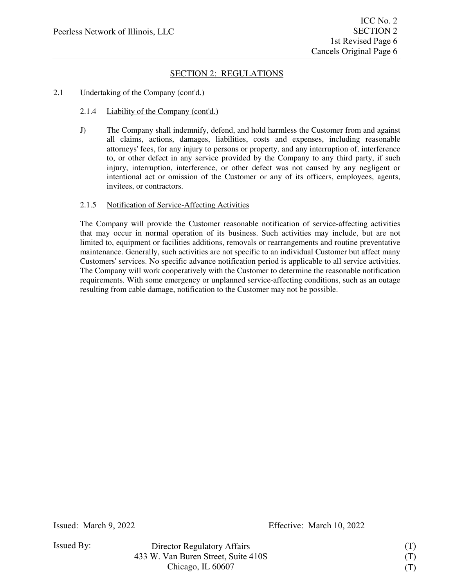### 2.1 Undertaking of the Company (cont'd.)

#### 2.1.4 Liability of the Company (cont'd.)

J) The Company shall indemnify, defend, and hold harmless the Customer from and against all claims, actions, damages, liabilities, costs and expenses, including reasonable attorneys' fees, for any injury to persons or property, and any interruption of, interference to, or other defect in any service provided by the Company to any third party, if such injury, interruption, interference, or other defect was not caused by any negligent or intentional act or omission of the Customer or any of its officers, employees, agents, invitees, or contractors.

### 2.1.5 Notification of Service-Affecting Activities

The Company will provide the Customer reasonable notification of service-affecting activities that may occur in normal operation of its business. Such activities may include, but are not limited to, equipment or facilities additions, removals or rearrangements and routine preventative maintenance. Generally, such activities are not specific to an individual Customer but affect many Customers' services. No specific advance notification period is applicable to all service activities. The Company will work cooperatively with the Customer to determine the reasonable notification requirements. With some emergency or unplanned service-affecting conditions, such as an outage resulting from cable damage, notification to the Customer may not be possible.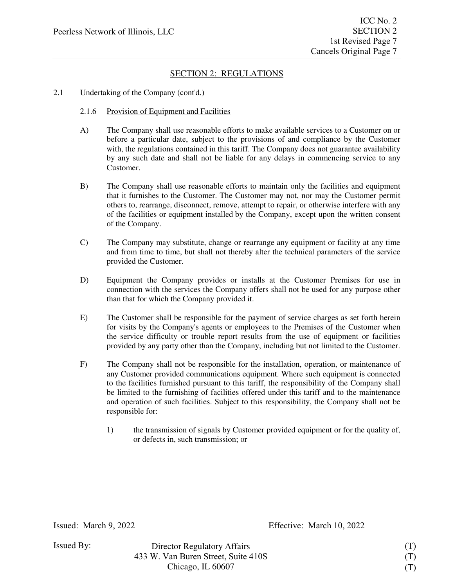#### 2.1 Undertaking of the Company (cont'd.)

- 2.1.6 Provision of Equipment and Facilities
- A) The Company shall use reasonable efforts to make available services to a Customer on or before a particular date, subject to the provisions of and compliance by the Customer with, the regulations contained in this tariff. The Company does not guarantee availability by any such date and shall not be liable for any delays in commencing service to any Customer.
- B) The Company shall use reasonable efforts to maintain only the facilities and equipment that it furnishes to the Customer. The Customer may not, nor may the Customer permit others to, rearrange, disconnect, remove, attempt to repair, or otherwise interfere with any of the facilities or equipment installed by the Company, except upon the written consent of the Company.
- C) The Company may substitute, change or rearrange any equipment or facility at any time and from time to time, but shall not thereby alter the technical parameters of the service provided the Customer.
- D) Equipment the Company provides or installs at the Customer Premises for use in connection with the services the Company offers shall not be used for any purpose other than that for which the Company provided it.
- E) The Customer shall be responsible for the payment of service charges as set forth herein for visits by the Company's agents or employees to the Premises of the Customer when the service difficulty or trouble report results from the use of equipment or facilities provided by any party other than the Company, including but not limited to the Customer.
- F) The Company shall not be responsible for the installation, operation, or maintenance of any Customer provided communications equipment. Where such equipment is connected to the facilities furnished pursuant to this tariff, the responsibility of the Company shall be limited to the furnishing of facilities offered under this tariff and to the maintenance and operation of such facilities. Subject to this responsibility, the Company shall not be responsible for:
	- 1) the transmission of signals by Customer provided equipment or for the quality of, or defects in, such transmission; or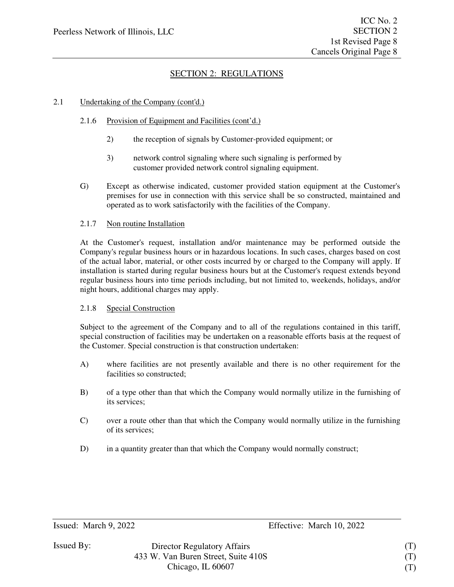### 2.1 Undertaking of the Company (cont'd.)

### 2.1.6 Provision of Equipment and Facilities (cont'd.)

- 2) the reception of signals by Customer-provided equipment; or
- 3) network control signaling where such signaling is performed by customer provided network control signaling equipment.
- G) Except as otherwise indicated, customer provided station equipment at the Customer's premises for use in connection with this service shall be so constructed, maintained and operated as to work satisfactorily with the facilities of the Company.

#### 2.1.7 Non routine Installation

At the Customer's request, installation and/or maintenance may be performed outside the Company's regular business hours or in hazardous locations. In such cases, charges based on cost of the actual labor, material, or other costs incurred by or charged to the Company will apply. If installation is started during regular business hours but at the Customer's request extends beyond regular business hours into time periods including, but not limited to, weekends, holidays, and/or night hours, additional charges may apply.

### 2.1.8 Special Construction

Subject to the agreement of the Company and to all of the regulations contained in this tariff, special construction of facilities may be undertaken on a reasonable efforts basis at the request of the Customer. Special construction is that construction undertaken:

- A) where facilities are not presently available and there is no other requirement for the facilities so constructed;
- B) of a type other than that which the Company would normally utilize in the furnishing of its services;
- C) over a route other than that which the Company would normally utilize in the furnishing of its services;
- D) in a quantity greater than that which the Company would normally construct;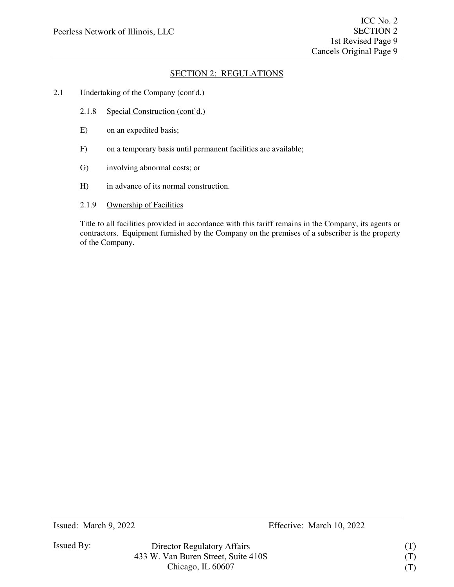### 2.1 Undertaking of the Company (cont'd.)

- 2.1.8 Special Construction (cont'd.)
- E) on an expedited basis;
- F) on a temporary basis until permanent facilities are available;
- G) involving abnormal costs; or
- H) in advance of its normal construction.
- 2.1.9 Ownership of Facilities

Title to all facilities provided in accordance with this tariff remains in the Company, its agents or contractors. Equipment furnished by the Company on the premises of a subscriber is the property of the Company.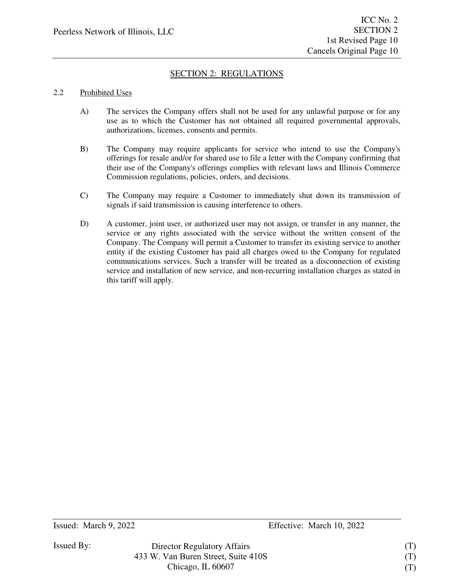### 2.2 Prohibited Uses

- A) The services the Company offers shall not be used for any unlawful purpose or for any use as to which the Customer has not obtained all required governmental approvals, authorizations, licenses, consents and permits.
- B) The Company may require applicants for service who intend to use the Company's offerings for resale and/or for shared use to file a letter with the Company confirming that their use of the Company's offerings complies with relevant laws and Illinois Commerce Commission regulations, policies, orders, and decisions.
- C) The Company may require a Customer to immediately shut down its transmission of signals if said transmission is causing interference to others.
- D) A customer, joint user, or authorized user may not assign, or transfer in any manner, the service or any rights associated with the service without the written consent of the Company. The Company will permit a Customer to transfer its existing service to another entity if the existing Customer has paid all charges owed to the Company for regulated communications services. Such a transfer will be treated as a disconnection of existing service and installation of new service, and non-recurring installation charges as stated in this tariff will apply.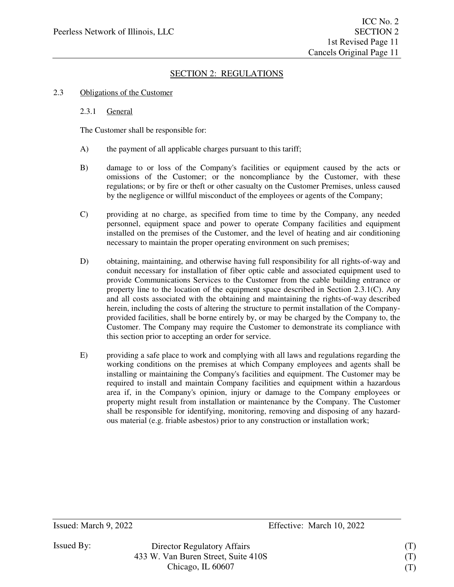#### 2.3 Obligations of the Customer

#### 2.3.1 General

The Customer shall be responsible for:

- A) the payment of all applicable charges pursuant to this tariff;
- B) damage to or loss of the Company's facilities or equipment caused by the acts or omissions of the Customer; or the noncompliance by the Customer, with these regulations; or by fire or theft or other casualty on the Customer Premises, unless caused by the negligence or willful misconduct of the employees or agents of the Company;
- C) providing at no charge, as specified from time to time by the Company, any needed personnel, equipment space and power to operate Company facilities and equipment installed on the premises of the Customer, and the level of heating and air conditioning necessary to maintain the proper operating environment on such premises;
- D) obtaining, maintaining, and otherwise having full responsibility for all rights-of-way and conduit necessary for installation of fiber optic cable and associated equipment used to provide Communications Services to the Customer from the cable building entrance or property line to the location of the equipment space described in Section 2.3.1(C). Any and all costs associated with the obtaining and maintaining the rights-of-way described herein, including the costs of altering the structure to permit installation of the Companyprovided facilities, shall be borne entirely by, or may be charged by the Company to, the Customer. The Company may require the Customer to demonstrate its compliance with this section prior to accepting an order for service.
- E) providing a safe place to work and complying with all laws and regulations regarding the working conditions on the premises at which Company employees and agents shall be installing or maintaining the Company's facilities and equipment. The Customer may be required to install and maintain Company facilities and equipment within a hazardous area if, in the Company's opinion, injury or damage to the Company employees or property might result from installation or maintenance by the Company. The Customer shall be responsible for identifying, monitoring, removing and disposing of any hazardous material (e.g. friable asbestos) prior to any construction or installation work;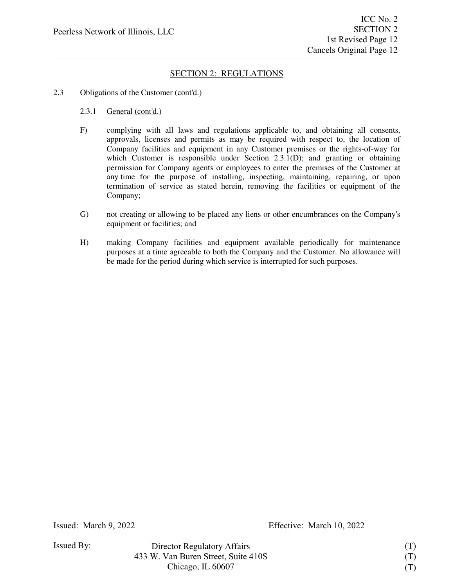#### 2.3 Obligations of the Customer (cont'd.)

- 2.3.1 General (cont'd.)
- F) complying with all laws and regulations applicable to, and obtaining all consents, approvals, licenses and permits as may be required with respect to, the location of Company facilities and equipment in any Customer premises or the rights-of-way for which Customer is responsible under Section 2.3.1(D); and granting or obtaining permission for Company agents or employees to enter the premises of the Customer at any time for the purpose of installing, inspecting, maintaining, repairing, or upon termination of service as stated herein, removing the facilities or equipment of the Company;
- G) not creating or allowing to be placed any liens or other encumbrances on the Company's equipment or facilities; and
- H) making Company facilities and equipment available periodically for maintenance purposes at a time agreeable to both the Company and the Customer. No allowance will be made for the period during which service is interrupted for such purposes.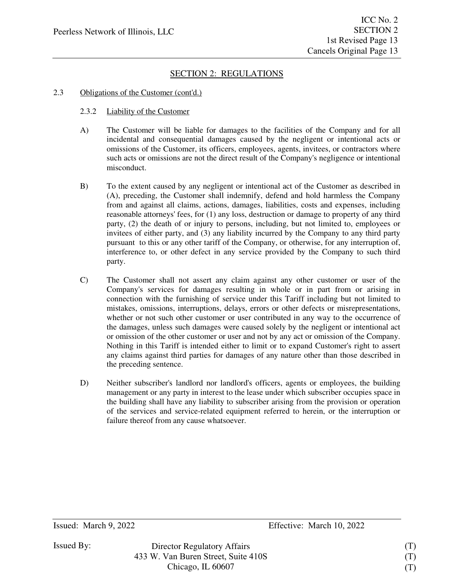#### 2.3 Obligations of the Customer (cont'd.)

#### 2.3.2 Liability of the Customer

- A) The Customer will be liable for damages to the facilities of the Company and for all incidental and consequential damages caused by the negligent or intentional acts or omissions of the Customer, its officers, employees, agents, invitees, or contractors where such acts or omissions are not the direct result of the Company's negligence or intentional misconduct.
- B) To the extent caused by any negligent or intentional act of the Customer as described in (A), preceding, the Customer shall indemnify, defend and hold harmless the Company from and against all claims, actions, damages, liabilities, costs and expenses, including reasonable attorneys' fees, for (1) any loss, destruction or damage to property of any third party, (2) the death of or injury to persons, including, but not limited to, employees or invitees of either party, and (3) any liability incurred by the Company to any third party pursuant to this or any other tariff of the Company, or otherwise, for any interruption of, interference to, or other defect in any service provided by the Company to such third party.
- C) The Customer shall not assert any claim against any other customer or user of the Company's services for damages resulting in whole or in part from or arising in connection with the furnishing of service under this Tariff including but not limited to mistakes, omissions, interruptions, delays, errors or other defects or misrepresentations, whether or not such other customer or user contributed in any way to the occurrence of the damages, unless such damages were caused solely by the negligent or intentional act or omission of the other customer or user and not by any act or omission of the Company. Nothing in this Tariff is intended either to limit or to expand Customer's right to assert any claims against third parties for damages of any nature other than those described in the preceding sentence.
- D) Neither subscriber's landlord nor landlord's officers, agents or employees, the building management or any party in interest to the lease under which subscriber occupies space in the building shall have any liability to subscriber arising from the provision or operation of the services and service-related equipment referred to herein, or the interruption or failure thereof from any cause whatsoever.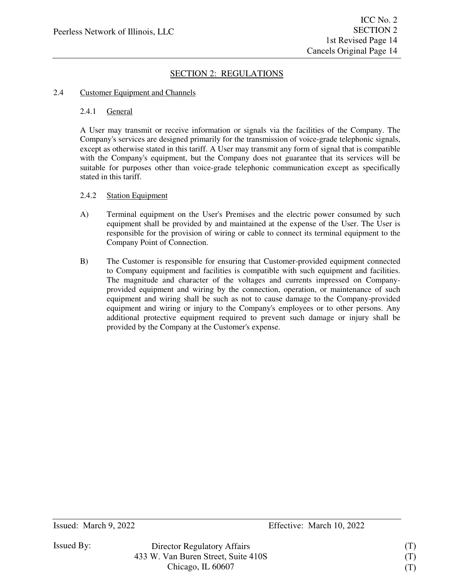#### 2.4 Customer Equipment and Channels

#### 2.4.1 General

A User may transmit or receive information or signals via the facilities of the Company. The Company's services are designed primarily for the transmission of voice-grade telephonic signals, except as otherwise stated in this tariff. A User may transmit any form of signal that is compatible with the Company's equipment, but the Company does not guarantee that its services will be suitable for purposes other than voice-grade telephonic communication except as specifically stated in this tariff.

#### 2.4.2 Station Equipment

- A) Terminal equipment on the User's Premises and the electric power consumed by such equipment shall be provided by and maintained at the expense of the User. The User is responsible for the provision of wiring or cable to connect its terminal equipment to the Company Point of Connection.
- B) The Customer is responsible for ensuring that Customer-provided equipment connected to Company equipment and facilities is compatible with such equipment and facilities. The magnitude and character of the voltages and currents impressed on Companyprovided equipment and wiring by the connection, operation, or maintenance of such equipment and wiring shall be such as not to cause damage to the Company-provided equipment and wiring or injury to the Company's employees or to other persons. Any additional protective equipment required to prevent such damage or injury shall be provided by the Company at the Customer's expense.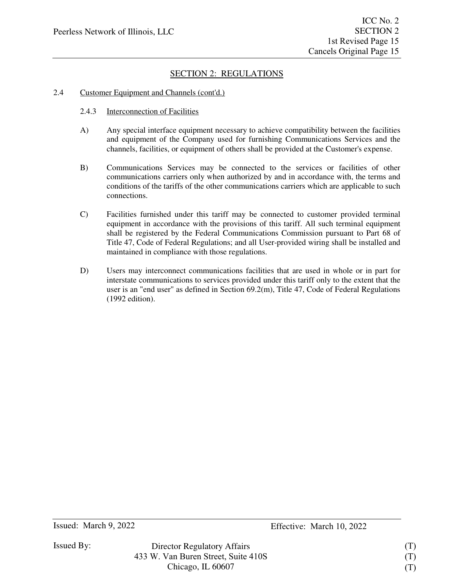#### 2.4 Customer Equipment and Channels (cont'd.)

- 2.4.3 Interconnection of Facilities
- A) Any special interface equipment necessary to achieve compatibility between the facilities and equipment of the Company used for furnishing Communications Services and the channels, facilities, or equipment of others shall be provided at the Customer's expense.
- B) Communications Services may be connected to the services or facilities of other communications carriers only when authorized by and in accordance with, the terms and conditions of the tariffs of the other communications carriers which are applicable to such connections.
- C) Facilities furnished under this tariff may be connected to customer provided terminal equipment in accordance with the provisions of this tariff. All such terminal equipment shall be registered by the Federal Communications Commission pursuant to Part 68 of Title 47, Code of Federal Regulations; and all User-provided wiring shall be installed and maintained in compliance with those regulations.
- D) Users may interconnect communications facilities that are used in whole or in part for interstate communications to services provided under this tariff only to the extent that the user is an "end user" as defined in Section 69.2(m), Title 47, Code of Federal Regulations (1992 edition).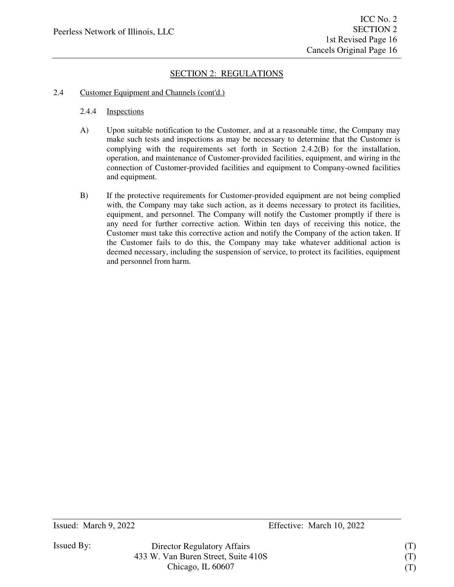#### 2.4 Customer Equipment and Channels (cont'd.)

- 2.4.4 Inspections
- A) Upon suitable notification to the Customer, and at a reasonable time, the Company may make such tests and inspections as may be necessary to determine that the Customer is complying with the requirements set forth in Section 2.4.2(B) for the installation, operation, and maintenance of Customer-provided facilities, equipment, and wiring in the connection of Customer-provided facilities and equipment to Company-owned facilities and equipment.
- B) If the protective requirements for Customer-provided equipment are not being complied with, the Company may take such action, as it deems necessary to protect its facilities, equipment, and personnel. The Company will notify the Customer promptly if there is any need for further corrective action. Within ten days of receiving this notice, the Customer must take this corrective action and notify the Company of the action taken. If the Customer fails to do this, the Company may take whatever additional action is deemed necessary, including the suspension of service, to protect its facilities, equipment and personnel from harm.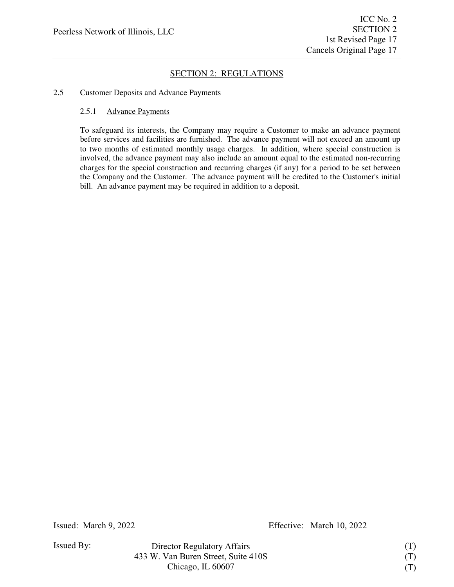### 2.5 Customer Deposits and Advance Payments

### 2.5.1 Advance Payments

To safeguard its interests, the Company may require a Customer to make an advance payment before services and facilities are furnished. The advance payment will not exceed an amount up to two months of estimated monthly usage charges. In addition, where special construction is involved, the advance payment may also include an amount equal to the estimated non-recurring charges for the special construction and recurring charges (if any) for a period to be set between the Company and the Customer. The advance payment will be credited to the Customer's initial bill. An advance payment may be required in addition to a deposit.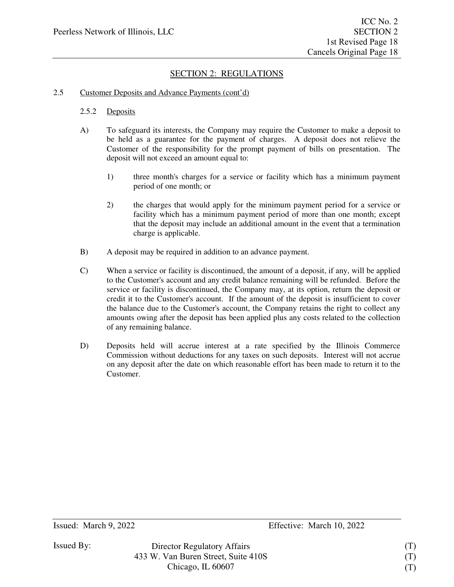#### 2.5 Customer Deposits and Advance Payments (cont'd)

#### 2.5.2 Deposits

- A) To safeguard its interests, the Company may require the Customer to make a deposit to be held as a guarantee for the payment of charges. A deposit does not relieve the Customer of the responsibility for the prompt payment of bills on presentation. The deposit will not exceed an amount equal to:
	- 1) three month's charges for a service or facility which has a minimum payment period of one month; or
	- 2) the charges that would apply for the minimum payment period for a service or facility which has a minimum payment period of more than one month; except that the deposit may include an additional amount in the event that a termination charge is applicable.
- B) A deposit may be required in addition to an advance payment.
- C) When a service or facility is discontinued, the amount of a deposit, if any, will be applied to the Customer's account and any credit balance remaining will be refunded. Before the service or facility is discontinued, the Company may, at its option, return the deposit or credit it to the Customer's account. If the amount of the deposit is insufficient to cover the balance due to the Customer's account, the Company retains the right to collect any amounts owing after the deposit has been applied plus any costs related to the collection of any remaining balance.
- D) Deposits held will accrue interest at a rate specified by the Illinois Commerce Commission without deductions for any taxes on such deposits. Interest will not accrue on any deposit after the date on which reasonable effort has been made to return it to the Customer.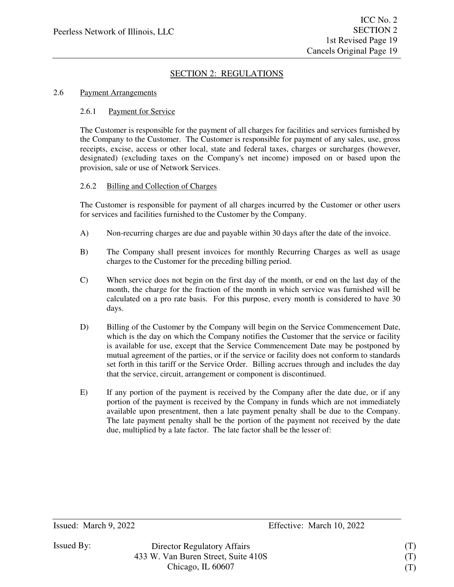#### 2.6 Payment Arrangements

#### 2.6.1 Payment for Service

The Customer is responsible for the payment of all charges for facilities and services furnished by the Company to the Customer. The Customer is responsible for payment of any sales, use, gross receipts, excise, access or other local, state and federal taxes, charges or surcharges (however, designated) (excluding taxes on the Company's net income) imposed on or based upon the provision, sale or use of Network Services.

#### 2.6.2 Billing and Collection of Charges

The Customer is responsible for payment of all charges incurred by the Customer or other users for services and facilities furnished to the Customer by the Company.

- A) Non-recurring charges are due and payable within 30 days after the date of the invoice.
- B) The Company shall present invoices for monthly Recurring Charges as well as usage charges to the Customer for the preceding billing period.
- C) When service does not begin on the first day of the month, or end on the last day of the month, the charge for the fraction of the month in which service was furnished will be calculated on a pro rate basis. For this purpose, every month is considered to have 30 days.
- D) Billing of the Customer by the Company will begin on the Service Commencement Date, which is the day on which the Company notifies the Customer that the service or facility is available for use, except that the Service Commencement Date may be postponed by mutual agreement of the parties, or if the service or facility does not conform to standards set forth in this tariff or the Service Order. Billing accrues through and includes the day that the service, circuit, arrangement or component is discontinued.
- E) If any portion of the payment is received by the Company after the date due, or if any portion of the payment is received by the Company in funds which are not immediately available upon presentment, then a late payment penalty shall be due to the Company. The late payment penalty shall be the portion of the payment not received by the date due, multiplied by a late factor. The late factor shall be the lesser of: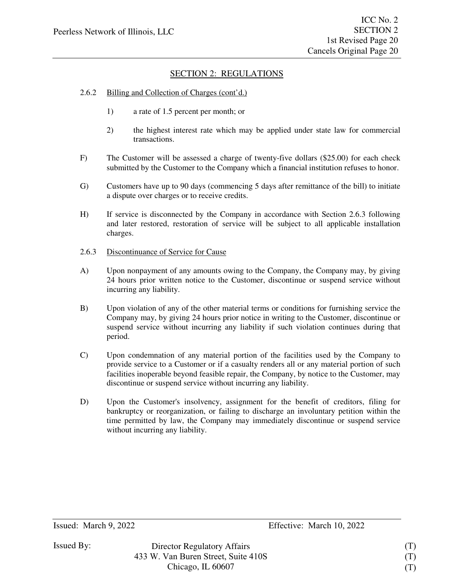#### 2.6.2 Billing and Collection of Charges (cont'd.)

- 1) a rate of 1.5 percent per month; or
- 2) the highest interest rate which may be applied under state law for commercial transactions.
- F) The Customer will be assessed a charge of twenty-five dollars (\$25.00) for each check submitted by the Customer to the Company which a financial institution refuses to honor.
- G) Customers have up to 90 days (commencing 5 days after remittance of the bill) to initiate a dispute over charges or to receive credits.
- H) If service is disconnected by the Company in accordance with Section 2.6.3 following and later restored, restoration of service will be subject to all applicable installation charges.
- 2.6.3 Discontinuance of Service for Cause
- A) Upon nonpayment of any amounts owing to the Company, the Company may, by giving 24 hours prior written notice to the Customer, discontinue or suspend service without incurring any liability.
- B) Upon violation of any of the other material terms or conditions for furnishing service the Company may, by giving 24 hours prior notice in writing to the Customer, discontinue or suspend service without incurring any liability if such violation continues during that period.
- C) Upon condemnation of any material portion of the facilities used by the Company to provide service to a Customer or if a casualty renders all or any material portion of such facilities inoperable beyond feasible repair, the Company, by notice to the Customer, may discontinue or suspend service without incurring any liability.
- D) Upon the Customer's insolvency, assignment for the benefit of creditors, filing for bankruptcy or reorganization, or failing to discharge an involuntary petition within the time permitted by law, the Company may immediately discontinue or suspend service without incurring any liability.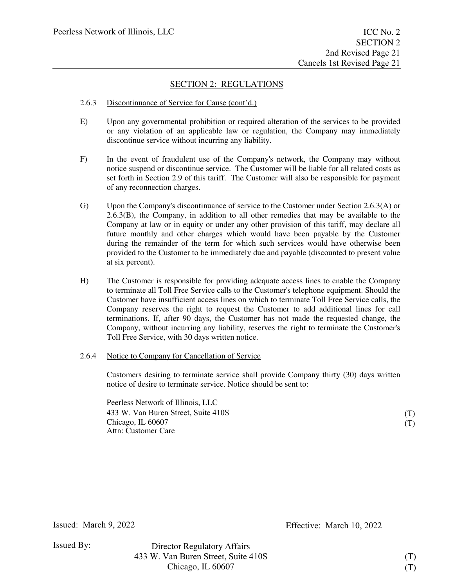### 2.6.3 Discontinuance of Service for Cause (cont'd.)

- E) Upon any governmental prohibition or required alteration of the services to be provided or any violation of an applicable law or regulation, the Company may immediately discontinue service without incurring any liability.
- F) In the event of fraudulent use of the Company's network, the Company may without notice suspend or discontinue service. The Customer will be liable for all related costs as set forth in Section 2.9 of this tariff. The Customer will also be responsible for payment of any reconnection charges.
- G) Upon the Company's discontinuance of service to the Customer under Section 2.6.3(A) or 2.6.3(B), the Company, in addition to all other remedies that may be available to the Company at law or in equity or under any other provision of this tariff, may declare all future monthly and other charges which would have been payable by the Customer during the remainder of the term for which such services would have otherwise been provided to the Customer to be immediately due and payable (discounted to present value at six percent).
- H) The Customer is responsible for providing adequate access lines to enable the Company to terminate all Toll Free Service calls to the Customer's telephone equipment. Should the Customer have insufficient access lines on which to terminate Toll Free Service calls, the Company reserves the right to request the Customer to add additional lines for call terminations. If, after 90 days, the Customer has not made the requested change, the Company, without incurring any liability, reserves the right to terminate the Customer's Toll Free Service, with 30 days written notice.

#### 2.6.4 Notice to Company for Cancellation of Service

Customers desiring to terminate service shall provide Company thirty (30) days written notice of desire to terminate service. Notice should be sent to:

Peerless Network of Illinois, LLC 433 W. Van Buren Street, Suite 410S Chicago, IL 60607 Attn: Customer Care

 $(T)$ (T)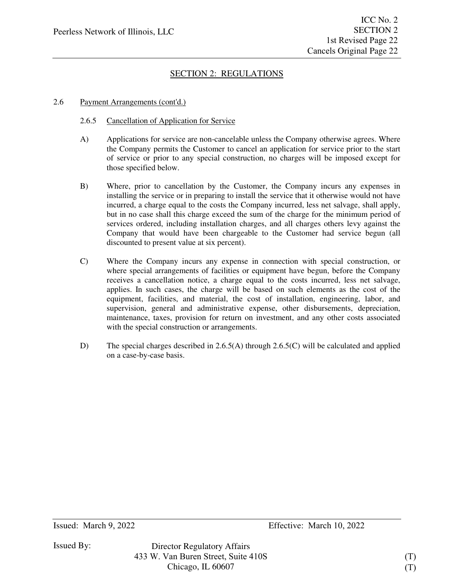### 2.6 Payment Arrangements (cont'd.)

- 2.6.5 Cancellation of Application for Service
- A) Applications for service are non-cancelable unless the Company otherwise agrees. Where the Company permits the Customer to cancel an application for service prior to the start of service or prior to any special construction, no charges will be imposed except for those specified below.
- B) Where, prior to cancellation by the Customer, the Company incurs any expenses in installing the service or in preparing to install the service that it otherwise would not have incurred, a charge equal to the costs the Company incurred, less net salvage, shall apply, but in no case shall this charge exceed the sum of the charge for the minimum period of services ordered, including installation charges, and all charges others levy against the Company that would have been chargeable to the Customer had service begun (all discounted to present value at six percent).
- C) Where the Company incurs any expense in connection with special construction, or where special arrangements of facilities or equipment have begun, before the Company receives a cancellation notice, a charge equal to the costs incurred, less net salvage, applies. In such cases, the charge will be based on such elements as the cost of the equipment, facilities, and material, the cost of installation, engineering, labor, and supervision, general and administrative expense, other disbursements, depreciation, maintenance, taxes, provision for return on investment, and any other costs associated with the special construction or arrangements.
- D) The special charges described in 2.6.5(A) through 2.6.5(C) will be calculated and applied on a case-by-case basis.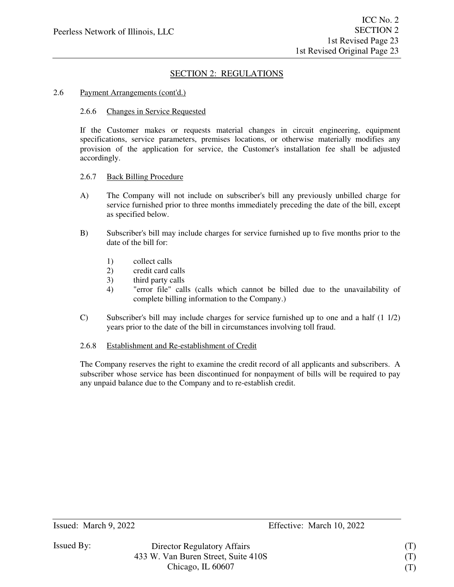#### 2.6 Payment Arrangements (cont'd.)

#### 2.6.6 Changes in Service Requested

If the Customer makes or requests material changes in circuit engineering, equipment specifications, service parameters, premises locations, or otherwise materially modifies any provision of the application for service, the Customer's installation fee shall be adjusted accordingly.

#### 2.6.7 Back Billing Procedure

- A) The Company will not include on subscriber's bill any previously unbilled charge for service furnished prior to three months immediately preceding the date of the bill, except as specified below.
- B) Subscriber's bill may include charges for service furnished up to five months prior to the date of the bill for:
	- 1) collect calls
	- 2) credit card calls
	- 3) third party calls<br>4) "error file" call
	- 4) "error file" calls (calls which cannot be billed due to the unavailability of complete billing information to the Company.)
- C) Subscriber's bill may include charges for service furnished up to one and a half (1 1/2) years prior to the date of the bill in circumstances involving toll fraud.

#### 2.6.8 Establishment and Re-establishment of Credit

The Company reserves the right to examine the credit record of all applicants and subscribers. A subscriber whose service has been discontinued for nonpayment of bills will be required to pay any unpaid balance due to the Company and to re-establish credit.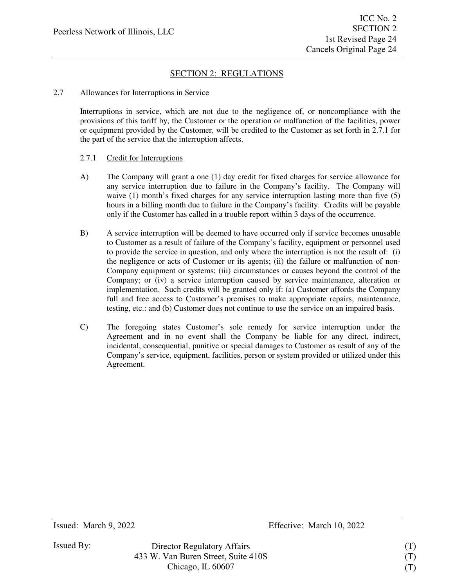### 2.7 Allowances for Interruptions in Service

Interruptions in service, which are not due to the negligence of, or noncompliance with the provisions of this tariff by, the Customer or the operation or malfunction of the facilities, power or equipment provided by the Customer, will be credited to the Customer as set forth in 2.7.1 for the part of the service that the interruption affects.

### 2.7.1 Credit for Interruptions

- A) The Company will grant a one (1) day credit for fixed charges for service allowance for any service interruption due to failure in the Company's facility. The Company will waive (1) month's fixed charges for any service interruption lasting more than five (5) hours in a billing month due to failure in the Company's facility. Credits will be payable only if the Customer has called in a trouble report within 3 days of the occurrence.
- B) A service interruption will be deemed to have occurred only if service becomes unusable to Customer as a result of failure of the Company's facility, equipment or personnel used to provide the service in question, and only where the interruption is not the result of: (i) the negligence or acts of Customer or its agents; (ii) the failure or malfunction of non-Company equipment or systems; (iii) circumstances or causes beyond the control of the Company; or (iv) a service interruption caused by service maintenance, alteration or implementation. Such credits will be granted only if: (a) Customer affords the Company full and free access to Customer's premises to make appropriate repairs, maintenance, testing, etc.: and (b) Customer does not continue to use the service on an impaired basis.
- C) The foregoing states Customer's sole remedy for service interruption under the Agreement and in no event shall the Company be liable for any direct, indirect, incidental, consequential, punitive or special damages to Customer as result of any of the Company's service, equipment, facilities, person or system provided or utilized under this Agreement.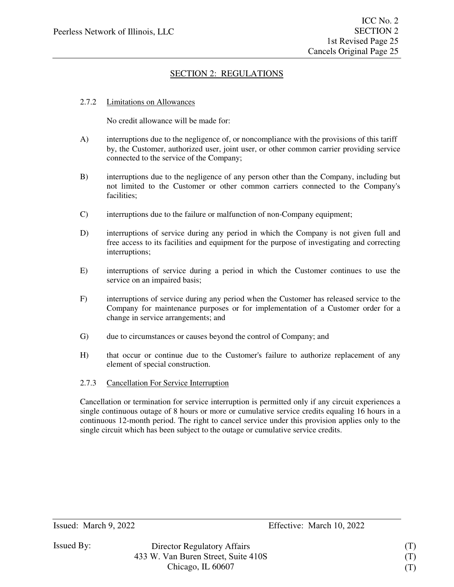#### 2.7.2 Limitations on Allowances

No credit allowance will be made for:

- A) interruptions due to the negligence of, or noncompliance with the provisions of this tariff by, the Customer, authorized user, joint user, or other common carrier providing service connected to the service of the Company;
- B) interruptions due to the negligence of any person other than the Company, including but not limited to the Customer or other common carriers connected to the Company's facilities;
- C) interruptions due to the failure or malfunction of non-Company equipment;
- D) interruptions of service during any period in which the Company is not given full and free access to its facilities and equipment for the purpose of investigating and correcting interruptions;
- E) interruptions of service during a period in which the Customer continues to use the service on an impaired basis;
- F) interruptions of service during any period when the Customer has released service to the Company for maintenance purposes or for implementation of a Customer order for a change in service arrangements; and
- G) due to circumstances or causes beyond the control of Company; and
- H) that occur or continue due to the Customer's failure to authorize replacement of any element of special construction.

### 2.7.3 Cancellation For Service Interruption

Cancellation or termination for service interruption is permitted only if any circuit experiences a single continuous outage of 8 hours or more or cumulative service credits equaling 16 hours in a continuous 12-month period. The right to cancel service under this provision applies only to the single circuit which has been subject to the outage or cumulative service credits.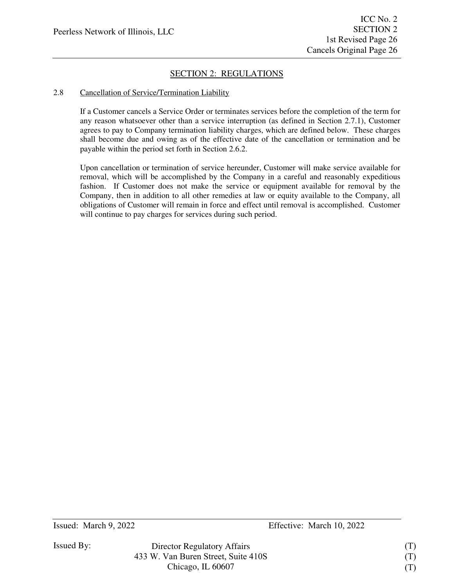### 2.8 Cancellation of Service/Termination Liability

If a Customer cancels a Service Order or terminates services before the completion of the term for any reason whatsoever other than a service interruption (as defined in Section 2.7.1), Customer agrees to pay to Company termination liability charges, which are defined below. These charges shall become due and owing as of the effective date of the cancellation or termination and be payable within the period set forth in Section 2.6.2.

Upon cancellation or termination of service hereunder, Customer will make service available for removal, which will be accomplished by the Company in a careful and reasonably expeditious fashion. If Customer does not make the service or equipment available for removal by the Company, then in addition to all other remedies at law or equity available to the Company, all obligations of Customer will remain in force and effect until removal is accomplished. Customer will continue to pay charges for services during such period.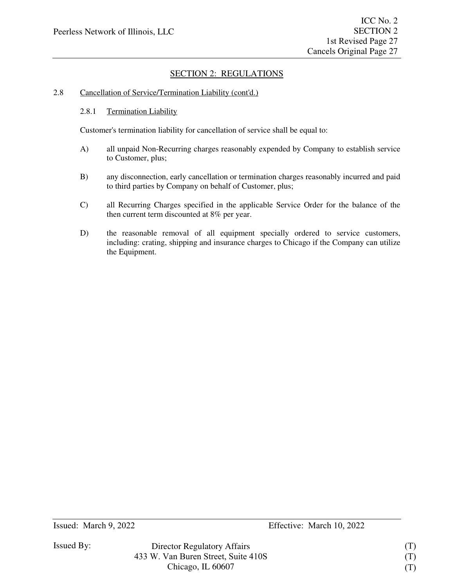### 2.8 Cancellation of Service/Termination Liability (cont'd.)

#### 2.8.1 Termination Liability

Customer's termination liability for cancellation of service shall be equal to:

- A) all unpaid Non-Recurring charges reasonably expended by Company to establish service to Customer, plus;
- B) any disconnection, early cancellation or termination charges reasonably incurred and paid to third parties by Company on behalf of Customer, plus;
- C) all Recurring Charges specified in the applicable Service Order for the balance of the then current term discounted at 8% per year.
- D) the reasonable removal of all equipment specially ordered to service customers, including: crating, shipping and insurance charges to Chicago if the Company can utilize the Equipment.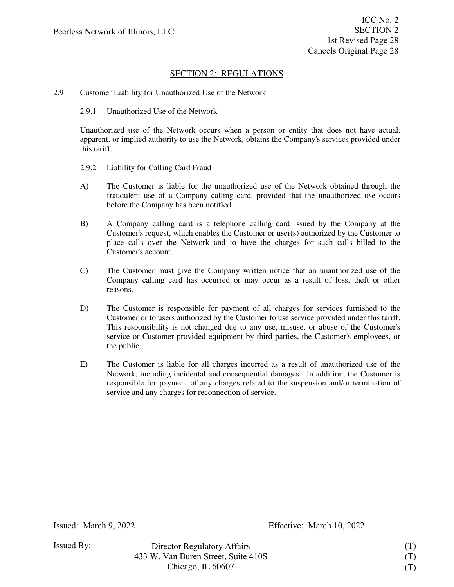#### 2.9 Customer Liability for Unauthorized Use of the Network

#### 2.9.1 Unauthorized Use of the Network

Unauthorized use of the Network occurs when a person or entity that does not have actual, apparent, or implied authority to use the Network, obtains the Company's services provided under this tariff.

#### 2.9.2 Liability for Calling Card Fraud

- A) The Customer is liable for the unauthorized use of the Network obtained through the fraudulent use of a Company calling card, provided that the unauthorized use occurs before the Company has been notified.
- B) A Company calling card is a telephone calling card issued by the Company at the Customer's request, which enables the Customer or user(s) authorized by the Customer to place calls over the Network and to have the charges for such calls billed to the Customer's account.
- C) The Customer must give the Company written notice that an unauthorized use of the Company calling card has occurred or may occur as a result of loss, theft or other reasons.
- D) The Customer is responsible for payment of all charges for services furnished to the Customer or to users authorized by the Customer to use service provided under this tariff. This responsibility is not changed due to any use, misuse, or abuse of the Customer's service or Customer-provided equipment by third parties, the Customer's employees, or the public.
- E) The Customer is liable for all charges incurred as a result of unauthorized use of the Network, including incidental and consequential damages. In addition, the Customer is responsible for payment of any charges related to the suspension and/or termination of service and any charges for reconnection of service.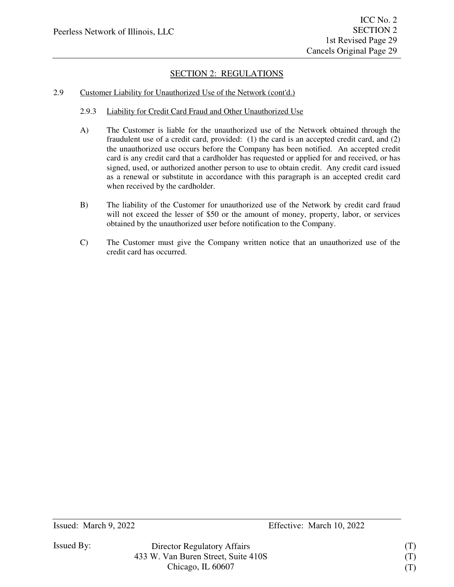### 2.9 Customer Liability for Unauthorized Use of the Network (cont'd.)

- 2.9.3 Liability for Credit Card Fraud and Other Unauthorized Use
- A) The Customer is liable for the unauthorized use of the Network obtained through the fraudulent use of a credit card, provided: (1) the card is an accepted credit card, and (2) the unauthorized use occurs before the Company has been notified. An accepted credit card is any credit card that a cardholder has requested or applied for and received, or has signed, used, or authorized another person to use to obtain credit. Any credit card issued as a renewal or substitute in accordance with this paragraph is an accepted credit card when received by the cardholder.
- B) The liability of the Customer for unauthorized use of the Network by credit card fraud will not exceed the lesser of \$50 or the amount of money, property, labor, or services obtained by the unauthorized user before notification to the Company.
- C) The Customer must give the Company written notice that an unauthorized use of the credit card has occurred.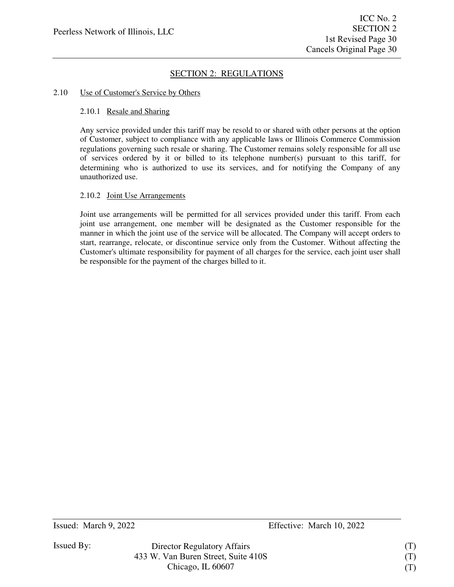### 2.10 Use of Customer's Service by Others

#### 2.10.1 Resale and Sharing

Any service provided under this tariff may be resold to or shared with other persons at the option of Customer, subject to compliance with any applicable laws or Illinois Commerce Commission regulations governing such resale or sharing. The Customer remains solely responsible for all use of services ordered by it or billed to its telephone number(s) pursuant to this tariff, for determining who is authorized to use its services, and for notifying the Company of any unauthorized use.

### 2.10.2 Joint Use Arrangements

Joint use arrangements will be permitted for all services provided under this tariff. From each joint use arrangement, one member will be designated as the Customer responsible for the manner in which the joint use of the service will be allocated. The Company will accept orders to start, rearrange, relocate, or discontinue service only from the Customer. Without affecting the Customer's ultimate responsibility for payment of all charges for the service, each joint user shall be responsible for the payment of the charges billed to it.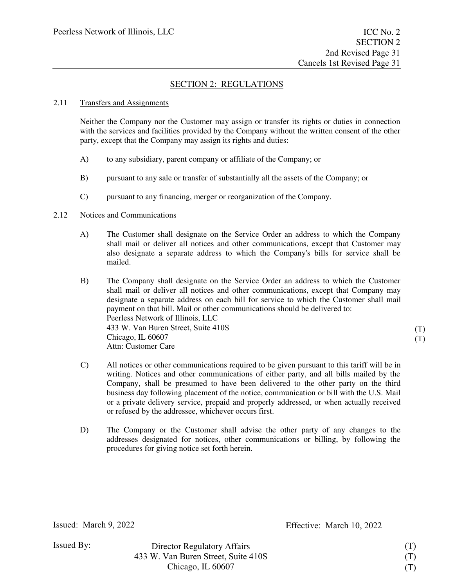### 2.11 Transfers and Assignments

Neither the Company nor the Customer may assign or transfer its rights or duties in connection with the services and facilities provided by the Company without the written consent of the other party, except that the Company may assign its rights and duties:

- A) to any subsidiary, parent company or affiliate of the Company; or
- B) pursuant to any sale or transfer of substantially all the assets of the Company; or
- C) pursuant to any financing, merger or reorganization of the Company.

### 2.12 Notices and Communications

- A) The Customer shall designate on the Service Order an address to which the Company shall mail or deliver all notices and other communications, except that Customer may also designate a separate address to which the Company's bills for service shall be mailed.
- B) The Company shall designate on the Service Order an address to which the Customer shall mail or deliver all notices and other communications, except that Company may designate a separate address on each bill for service to which the Customer shall mail payment on that bill. Mail or other communications should be delivered to: Peerless Network of Illinois, LLC 433 W. Van Buren Street, Suite 410S Chicago, IL 60607 Attn: Customer Care
- C) All notices or other communications required to be given pursuant to this tariff will be in writing. Notices and other communications of either party, and all bills mailed by the Company, shall be presumed to have been delivered to the other party on the third business day following placement of the notice, communication or bill with the U.S. Mail or a private delivery service, prepaid and properly addressed, or when actually received or refused by the addressee, whichever occurs first.
- D) The Company or the Customer shall advise the other party of any changes to the addresses designated for notices, other communications or billing, by following the procedures for giving notice set forth herein.

Director Regulatory Affairs 433 W. Van Buren Street, Suite 410S Chicago, IL 60607

(T) (T)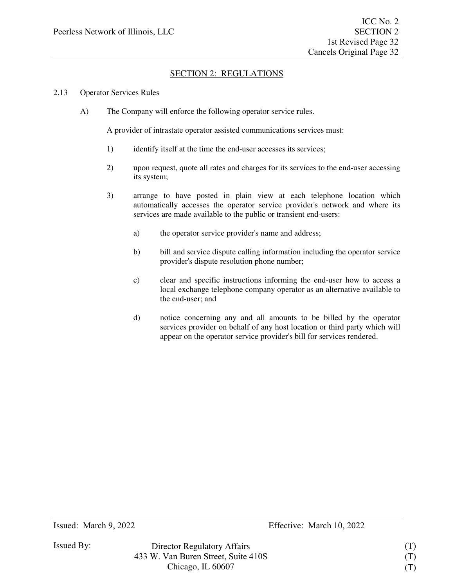### 2.13 Operator Services Rules

A) The Company will enforce the following operator service rules.

A provider of intrastate operator assisted communications services must:

- 1) identify itself at the time the end-user accesses its services;
- 2) upon request, quote all rates and charges for its services to the end-user accessing its system;
- 3) arrange to have posted in plain view at each telephone location which automatically accesses the operator service provider's network and where its services are made available to the public or transient end-users:
	- a) the operator service provider's name and address;
	- b) bill and service dispute calling information including the operator service provider's dispute resolution phone number;
	- c) clear and specific instructions informing the end-user how to access a local exchange telephone company operator as an alternative available to the end-user; and
	- d) notice concerning any and all amounts to be billed by the operator services provider on behalf of any host location or third party which will appear on the operator service provider's bill for services rendered.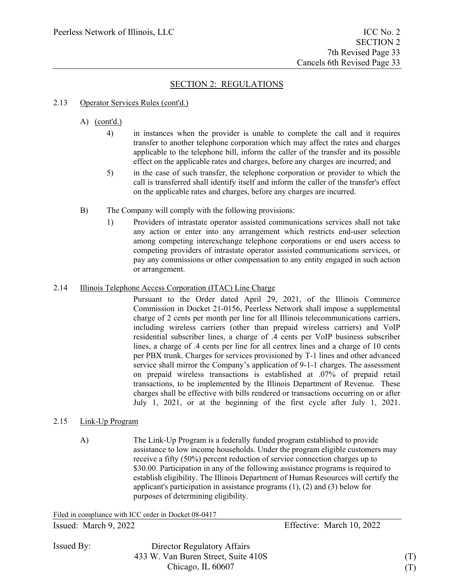#### 2.13 Operator Services Rules (cont'd.)

### A)  $(cont'd.)$

- 4) in instances when the provider is unable to complete the call and it requires transfer to another telephone corporation which may affect the rates and charges applicable to the telephone bill, inform the caller of the transfer and its possible effect on the applicable rates and charges, before any charges are incurred; and
- 5) in the case of such transfer, the telephone corporation or provider to which the call is transferred shall identify itself and inform the caller of the transfer's effect on the applicable rates and charges, before any charges are incurred.
- B) The Company will comply with the following provisions:
	- 1) Providers of intrastate operator assisted communications services shall not take any action or enter into any arrangement which restricts end-user selection among competing interexchange telephone corporations or end users access to competing providers of intrastate operator assisted communications services, or pay any commissions or other compensation to any entity engaged in such action or arrangement.

### 2.14 Illinois Telephone Access Corporation (ITAC) Line Charge

Pursuant to the Order dated April 29, 2021, of the Illinois Commerce Commission in Docket 21-0156, Peerless Network shall impose a supplemental charge of 2 cents per month per line for all Illinois telecommunications carriers, including wireless carriers (other than prepaid wireless carriers) and VoIP residential subscriber lines, a charge of .4 cents per VoIP business subscriber lines, a charge of .4 cents per line for all centrex lines and a charge of 10 cents per PBX trunk. Charges for services provisioned by T-1 lines and other advanced service shall mirror the Company's application of 9-1-1 charges. The assessment on prepaid wireless transactions is established at .07% of prepaid retail transactions, to be implemented by the Illinois Department of Revenue. These charges shall be effective with bills rendered or transactions occurring on or after July 1, 2021, or at the beginning of the first cycle after July 1, 2021.

#### 2.15 Link-Up Program

A) The Link-Up Program is a federally funded program established to provide assistance to low income households. Under the program eligible customers may receive a fifty (50%) percent reduction of service connection charges up to \$30.00. Participation in any of the following assistance programs is required to establish eligibility. The Illinois Department of Human Resources will certify the applicant's participation in assistance programs (1), (2) and (3) below for purposes of determining eligibility.

Issued: March 9, 2022 Effective: March 10, 2022 Filed in compliance with ICC order in Docket 08-0417

Issued By:

Director Regulatory Affairs 433 W. Van Buren Street, Suite 410S Chicago, IL 60607

(T) (T)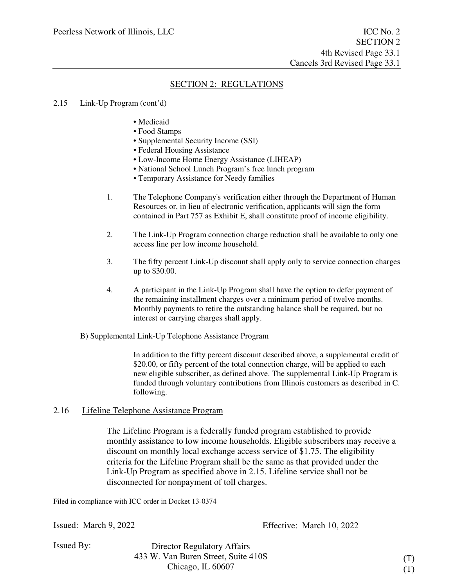#### 2.15 Link-Up Program (cont'd)

- Medicaid
- Food Stamps
- Supplemental Security Income (SSI)
- Federal Housing Assistance
- Low-Income Home Energy Assistance (LIHEAP)
- National School Lunch Program's free lunch program
- Temporary Assistance for Needy families
- 1. The Telephone Company's verification either through the Department of Human Resources or, in lieu of electronic verification, applicants will sign the form contained in Part 757 as Exhibit E, shall constitute proof of income eligibility.
- 2. The Link-Up Program connection charge reduction shall be available to only one access line per low income household.
- 3. The fifty percent Link-Up discount shall apply only to service connection charges up to \$30.00.
- 4. A participant in the Link-Up Program shall have the option to defer payment of the remaining installment charges over a minimum period of twelve months. Monthly payments to retire the outstanding balance shall be required, but no interest or carrying charges shall apply.
- B) Supplemental Link-Up Telephone Assistance Program

In addition to the fifty percent discount described above, a supplemental credit of \$20.00, or fifty percent of the total connection charge, will be applied to each new eligible subscriber, as defined above. The supplemental Link-Up Program is funded through voluntary contributions from Illinois customers as described in C. following.

### 2.16 Lifeline Telephone Assistance Program

The Lifeline Program is a federally funded program established to provide monthly assistance to low income households. Eligible subscribers may receive a discount on monthly local exchange access service of \$1.75. The eligibility criteria for the Lifeline Program shall be the same as that provided under the Link-Up Program as specified above in 2.15. Lifeline service shall not be disconnected for nonpayment of toll charges.

Filed in compliance with ICC order in Docket 13-0374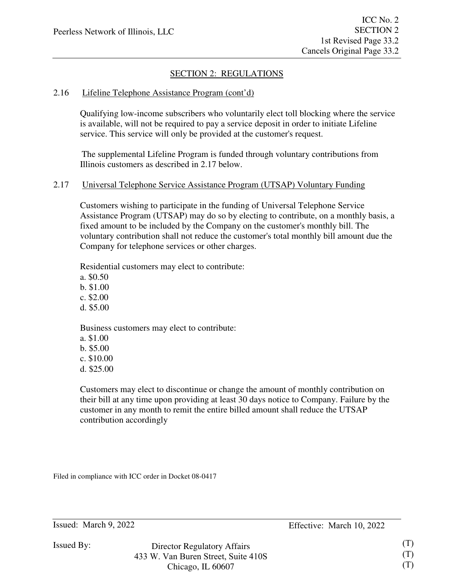### 2.16 Lifeline Telephone Assistance Program (cont'd)

Qualifying low-income subscribers who voluntarily elect toll blocking where the service is available, will not be required to pay a service deposit in order to initiate Lifeline service. This service will only be provided at the customer's request.

The supplemental Lifeline Program is funded through voluntary contributions from Illinois customers as described in 2.17 below.

### 2.17 Universal Telephone Service Assistance Program (UTSAP) Voluntary Funding

Customers wishing to participate in the funding of Universal Telephone Service Assistance Program (UTSAP) may do so by electing to contribute, on a monthly basis, a fixed amount to be included by the Company on the customer's monthly bill. The voluntary contribution shall not reduce the customer's total monthly bill amount due the Company for telephone services or other charges.

Residential customers may elect to contribute:

a. \$0.50 b. \$1.00

c. \$2.00

d. \$5.00

Business customers may elect to contribute:

a. \$1.00 b. \$5.00

c. \$10.00

d. \$25.00

Customers may elect to discontinue or change the amount of monthly contribution on their bill at any time upon providing at least 30 days notice to Company. Failure by the customer in any month to remit the entire billed amount shall reduce the UTSAP contribution accordingly

Filed in compliance with ICC order in Docket 08-0417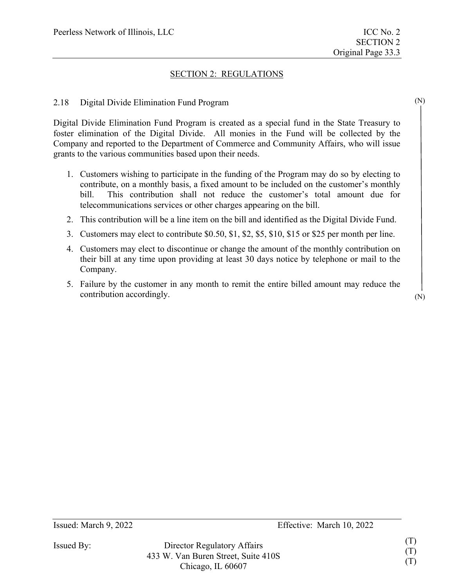(N)

(N)

### SECTION 2: REGULATIONS

### 2.18 Digital Divide Elimination Fund Program

Digital Divide Elimination Fund Program is created as a special fund in the State Treasury to foster elimination of the Digital Divide. All monies in the Fund will be collected by the Company and reported to the Department of Commerce and Community Affairs, who will issue grants to the various communities based upon their needs.

- 1. Customers wishing to participate in the funding of the Program may do so by electing to contribute, on a monthly basis, a fixed amount to be included on the customer's monthly bill. This contribution shall not reduce the customer's total amount due for telecommunications services or other charges appearing on the bill.
- 2. This contribution will be a line item on the bill and identified as the Digital Divide Fund.
- 3. Customers may elect to contribute \$0.50, \$1, \$2, \$5, \$10, \$15 or \$25 per month per line.
- 4. Customers may elect to discontinue or change the amount of the monthly contribution on their bill at any time upon providing at least 30 days notice by telephone or mail to the Company.
- 5. Failure by the customer in any month to remit the entire billed amount may reduce the contribution accordingly.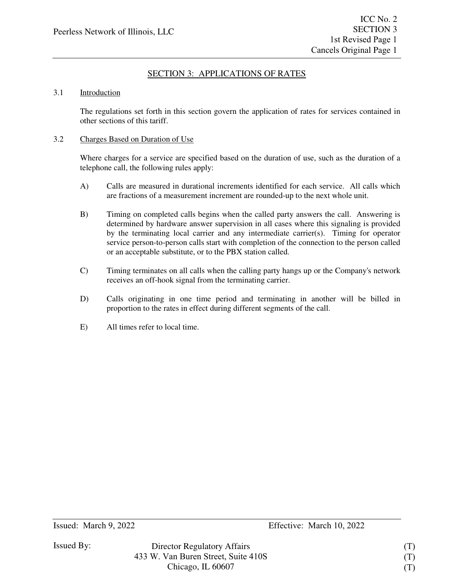# SECTION 3: APPLICATIONS OF RATES

#### 3.1 Introduction

The regulations set forth in this section govern the application of rates for services contained in other sections of this tariff.

### 3.2 Charges Based on Duration of Use

Where charges for a service are specified based on the duration of use, such as the duration of a telephone call, the following rules apply:

- A) Calls are measured in durational increments identified for each service. All calls which are fractions of a measurement increment are rounded-up to the next whole unit.
- B) Timing on completed calls begins when the called party answers the call. Answering is determined by hardware answer supervision in all cases where this signaling is provided by the terminating local carrier and any intermediate carrier(s). Timing for operator service person-to-person calls start with completion of the connection to the person called or an acceptable substitute, or to the PBX station called.
- C) Timing terminates on all calls when the calling party hangs up or the Company's network receives an off-hook signal from the terminating carrier.
- D) Calls originating in one time period and terminating in another will be billed in proportion to the rates in effect during different segments of the call.
- E) All times refer to local time.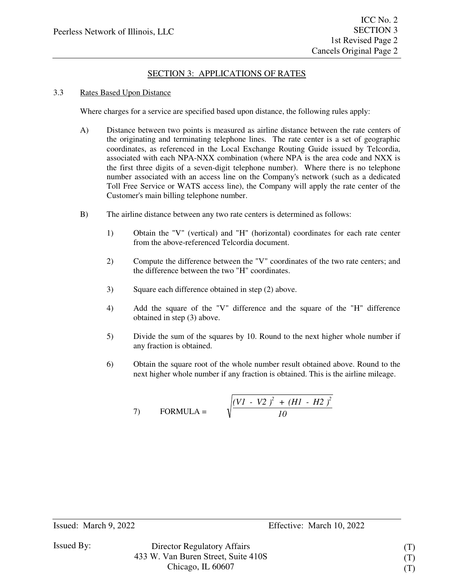# SECTION 3: APPLICATIONS OF RATES

### 3.3 Rates Based Upon Distance

Where charges for a service are specified based upon distance, the following rules apply:

- A) Distance between two points is measured as airline distance between the rate centers of the originating and terminating telephone lines. The rate center is a set of geographic coordinates, as referenced in the Local Exchange Routing Guide issued by Telcordia, associated with each NPA-NXX combination (where NPA is the area code and NXX is the first three digits of a seven-digit telephone number). Where there is no telephone number associated with an access line on the Company's network (such as a dedicated Toll Free Service or WATS access line), the Company will apply the rate center of the Customer's main billing telephone number.
- B) The airline distance between any two rate centers is determined as follows:
	- 1) Obtain the "V" (vertical) and "H" (horizontal) coordinates for each rate center from the above-referenced Telcordia document.
	- 2) Compute the difference between the "V" coordinates of the two rate centers; and the difference between the two "H" coordinates.
	- 3) Square each difference obtained in step (2) above.
	- 4) Add the square of the "V" difference and the square of the "H" difference obtained in step (3) above.
	- 5) Divide the sum of the squares by 10. Round to the next higher whole number if any fraction is obtained.
	- 6) Obtain the square root of the whole number result obtained above. Round to the next higher whole number if any fraction is obtained. This is the airline mileage.

7) FORMULA = 
$$
\sqrt{\frac{(VI - V2)^2 + (HI - H2)^2}{10}}
$$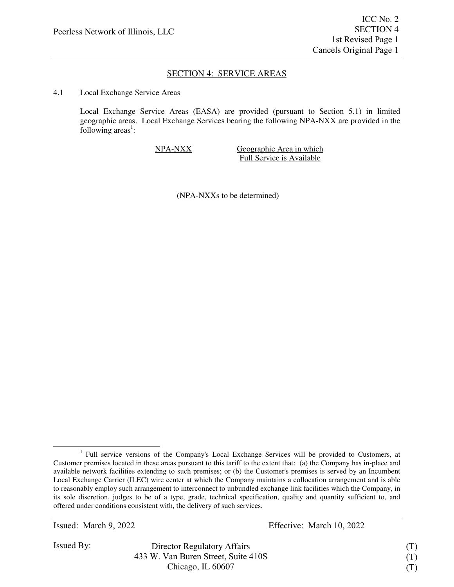### SECTION 4: SERVICE AREAS

#### 4.1 Local Exchange Service Areas

Local Exchange Service Areas (EASA) are provided (pursuant to Section 5.1) in limited geographic areas. Local Exchange Services bearing the following NPA-NXX are provided in the following  $area<sup>1</sup>$ :

NPA-NXX Geographic Area in which Full Service is Available

(NPA-NXXs to be determined)

Issued: March 9, 2022 Effective: March 10, 2022

Issued By:

Director Regulatory Affairs 433 W. Van Buren Street, Suite 410S Chicago, IL 60607

(T) (T) (T)

<sup>&</sup>lt;sup>1</sup> Full service versions of the Company's Local Exchange Services will be provided to Customers, at Customer premises located in these areas pursuant to this tariff to the extent that: (a) the Company has in-place and available network facilities extending to such premises; or (b) the Customer's premises is served by an Incumbent Local Exchange Carrier (ILEC) wire center at which the Company maintains a collocation arrangement and is able to reasonably employ such arrangement to interconnect to unbundled exchange link facilities which the Company, in its sole discretion, judges to be of a type, grade, technical specification, quality and quantity sufficient to, and offered under conditions consistent with, the delivery of such services.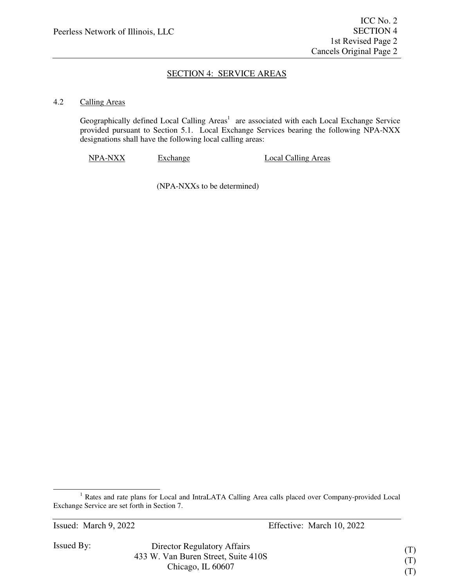# SECTION 4: SERVICE AREAS

### 4.2 Calling Areas

Geographically defined Local Calling Areas<sup>1</sup> are associated with each Local Exchange Service provided pursuant to Section 5.1. Local Exchange Services bearing the following NPA-NXX designations shall have the following local calling areas:

NPA-NXX Exchange Local Calling Areas

(NPA-NXXs to be determined)

<sup>&</sup>lt;sup>1</sup> Rates and rate plans for Local and IntraLATA Calling Area calls placed over Company-provided Local Exchange Service are set forth in Section 7.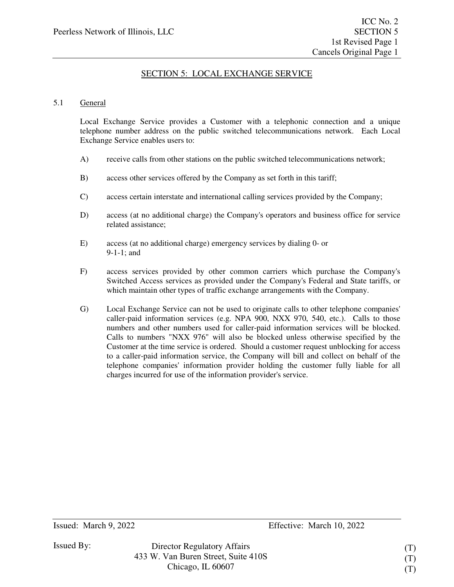### 5.1 General

Local Exchange Service provides a Customer with a telephonic connection and a unique telephone number address on the public switched telecommunications network. Each Local Exchange Service enables users to:

- A) receive calls from other stations on the public switched telecommunications network;
- B) access other services offered by the Company as set forth in this tariff;
- C) access certain interstate and international calling services provided by the Company;
- D) access (at no additional charge) the Company's operators and business office for service related assistance;
- E) access (at no additional charge) emergency services by dialing 0- or 9-1-1; and
- F) access services provided by other common carriers which purchase the Company's Switched Access services as provided under the Company's Federal and State tariffs, or which maintain other types of traffic exchange arrangements with the Company.
- G) Local Exchange Service can not be used to originate calls to other telephone companies' caller-paid information services (e.g. NPA 900, NXX 970, 540, etc.). Calls to those numbers and other numbers used for caller-paid information services will be blocked. Calls to numbers "NXX 976" will also be blocked unless otherwise specified by the Customer at the time service is ordered. Should a customer request unblocking for access to a caller-paid information service, the Company will bill and collect on behalf of the telephone companies' information provider holding the customer fully liable for all charges incurred for use of the information provider's service.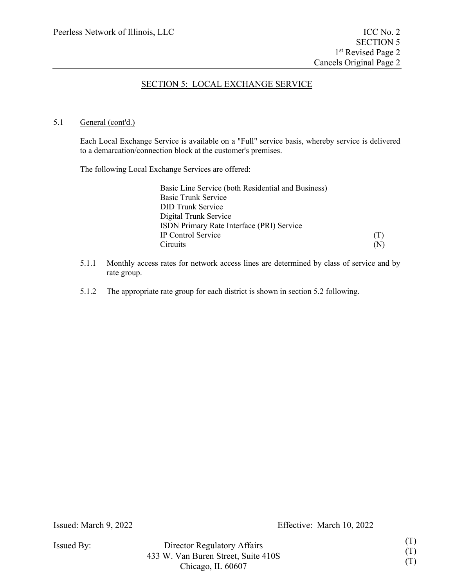### 5.1 General (cont'd.)

Each Local Exchange Service is available on a "Full" service basis, whereby service is delivered to a demarcation/connection block at the customer's premises.

The following Local Exchange Services are offered:

| (T) |
|-----|
| (N) |
|     |

- 5.1.1 Monthly access rates for network access lines are determined by class of service and by rate group.
- 5.1.2 The appropriate rate group for each district is shown in section 5.2 following.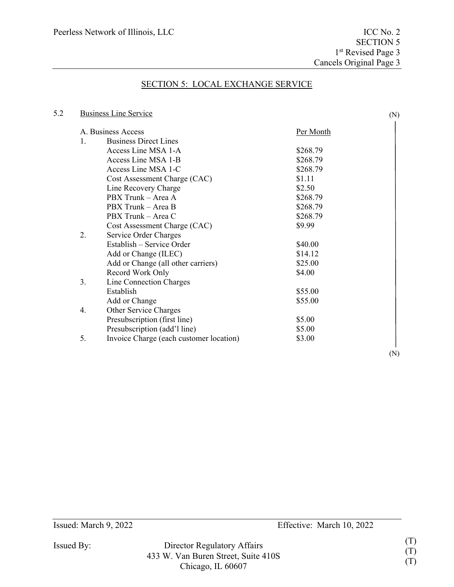# 5.2 Business Line Service

|    | A. Business Access                      | Per Month |
|----|-----------------------------------------|-----------|
| 1. | <b>Business Direct Lines</b>            |           |
|    | Access Line MSA 1-A                     | \$268.79  |
|    | Access Line MSA 1-B                     | \$268.79  |
|    | Access Line MSA 1-C                     | \$268.79  |
|    | Cost Assessment Charge (CAC)            | \$1.11    |
|    | Line Recovery Charge                    | \$2.50    |
|    | PBX Trunk - Area A                      | \$268.79  |
|    | PBX Trunk - Area B                      | \$268.79  |
|    | PBX Trunk - Area C                      | \$268.79  |
|    | Cost Assessment Charge (CAC)            | \$9.99    |
| 2. | Service Order Charges                   |           |
|    | Establish – Service Order               | \$40.00   |
|    | Add or Change (ILEC)                    | \$14.12   |
|    | Add or Change (all other carriers)      | \$25.00   |
|    | Record Work Only                        | \$4.00    |
| 3. | Line Connection Charges                 |           |
|    | Establish                               | \$55.00   |
|    | Add or Change                           | \$55.00   |
| 4. | Other Service Charges                   |           |
|    | Presubscription (first line)            | \$5.00    |
|    | Presubscription (add'l line)            | \$5.00    |
| 5. | Invoice Charge (each customer location) | \$3.00    |

Issued: March 9, 2022 Effective: March 10, 2022

Issued By: Director Regulatory Affairs 433 W. Van Buren Street, Suite 410S Chicago, IL 60607

(N)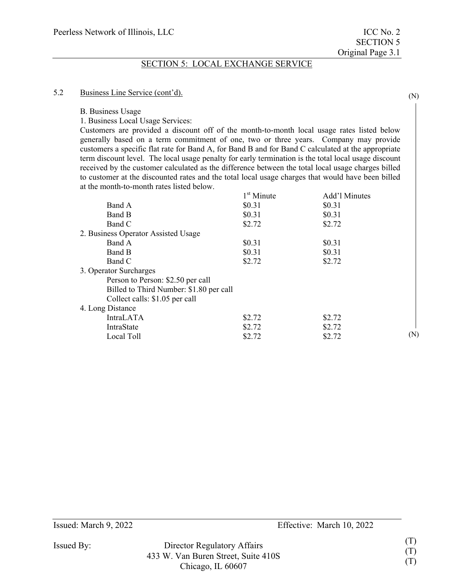#### 5.2 Business Line Service (cont'd).

B. Business Usage

1. Business Local Usage Services:

Customers are provided a discount off of the month-to-month local usage rates listed below generally based on a term commitment of one, two or three years. Company may provide customers a specific flat rate for Band A, for Band B and for Band C calculated at the appropriate term discount level. The local usage penalty for early termination is the total local usage discount received by the customer calculated as the difference between the total local usage charges billed to customer at the discounted rates and the total local usage charges that would have been billed at the month-to-month rates listed below.

Issued By: Director Regulatory Affairs 433 W. Van Buren Street, Suite 410S Chicago, IL 60607

(N)

(N)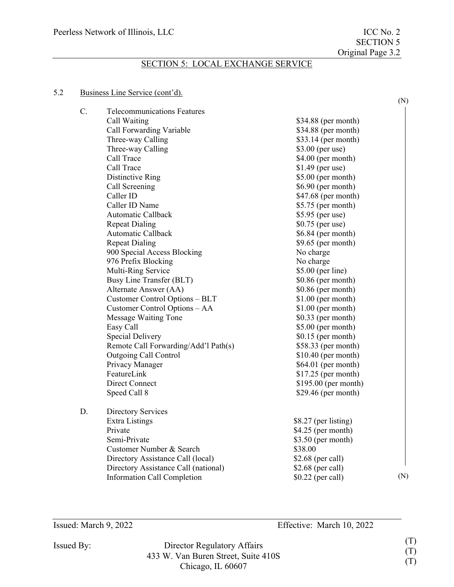### 5.2 Business Line Service (cont'd).

|    |                                      |                      | (N) |
|----|--------------------------------------|----------------------|-----|
| C. | <b>Telecommunications Features</b>   |                      |     |
|    | Call Waiting                         | \$34.88 (per month)  |     |
|    | Call Forwarding Variable             | \$34.88 (per month)  |     |
|    | Three-way Calling                    | $$33.14$ (per month) |     |
|    | Three-way Calling                    | \$3.00 (per use)     |     |
|    | Call Trace                           | \$4.00 (per month)   |     |
|    | Call Trace                           | $$1.49$ (per use)    |     |
|    | Distinctive Ring                     | $$5.00$ (per month)  |     |
|    | Call Screening                       | $$6.90$ (per month)  |     |
|    | Caller ID                            | \$47.68 (per month)  |     |
|    | Caller ID Name                       | $$5.75$ (per month)  |     |
|    | Automatic Callback                   | \$5.95 (per use)     |     |
|    | <b>Repeat Dialing</b>                | \$0.75 (per use)     |     |
|    | Automatic Callback                   | \$6.84 (per month)   |     |
|    | <b>Repeat Dialing</b>                | $$9.65$ (per month)  |     |
|    | 900 Special Access Blocking          | No charge            |     |
|    | 976 Prefix Blocking                  | No charge            |     |
|    | Multi-Ring Service                   | \$5.00 (per line)    |     |
|    | Busy Line Transfer (BLT)             | $$0.86$ (per month)  |     |
|    | Alternate Answer (AA)                | \$0.86 (per month)   |     |
|    | Customer Control Options - BLT       | $$1.00$ (per month)  |     |
|    | Customer Control Options - AA        | $$1.00$ (per month)  |     |
|    | Message Waiting Tone                 | $$0.33$ (per month)  |     |
|    | Easy Call                            | $$5.00$ (per month)  |     |
|    | <b>Special Delivery</b>              | $$0.15$ (per month)  |     |
|    | Remote Call Forwarding/Add'l Path(s) | \$58.33 (per month)  |     |
|    | <b>Outgoing Call Control</b>         | $$10.40$ (per month) |     |
|    | Privacy Manager                      | $$64.01$ (per month) |     |
|    | FeatureLink                          | $$17.25$ (per month) |     |
|    | <b>Direct Connect</b>                | \$195.00 (per month) |     |
|    | Speed Call 8                         | $$29.46$ (per month) |     |
| D. | Directory Services                   |                      |     |
|    | Extra Listings                       | \$8.27 (per listing) |     |
|    | Private                              | $$4.25$ (per month)  |     |
|    | Semi-Private                         | $$3.50$ (per month)  |     |
|    | Customer Number & Search             | \$38.00              |     |
|    | Directory Assistance Call (local)    | $$2.68$ (per call)   |     |
|    | Directory Assistance Call (national) | \$2.68 (per call)    |     |
|    | Information Call Completion          | \$0.22 (per call)    | (N) |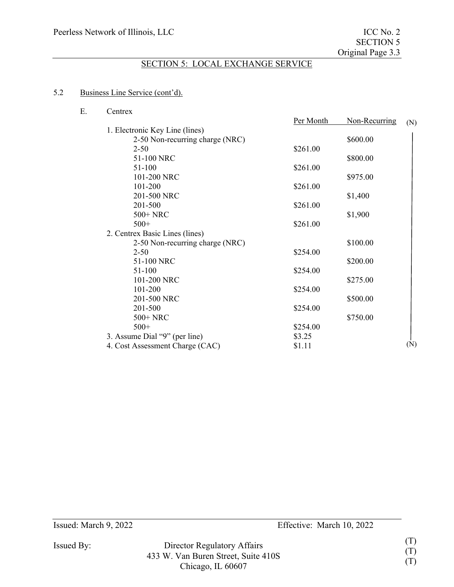### 5.2 Business Line Service (cont'd).

E. Centrex

| Per Month | Non-Recurring                                            | (N)                                                                            |
|-----------|----------------------------------------------------------|--------------------------------------------------------------------------------|
|           |                                                          |                                                                                |
|           | \$600.00                                                 |                                                                                |
| \$261.00  |                                                          |                                                                                |
|           | \$800.00                                                 |                                                                                |
| \$261.00  |                                                          |                                                                                |
|           |                                                          |                                                                                |
|           |                                                          |                                                                                |
|           |                                                          |                                                                                |
|           |                                                          |                                                                                |
|           |                                                          |                                                                                |
| \$261.00  |                                                          |                                                                                |
|           |                                                          |                                                                                |
|           | \$100.00                                                 |                                                                                |
| \$254.00  |                                                          |                                                                                |
|           |                                                          |                                                                                |
| \$254.00  |                                                          |                                                                                |
|           |                                                          |                                                                                |
|           |                                                          |                                                                                |
|           |                                                          |                                                                                |
|           |                                                          |                                                                                |
|           |                                                          |                                                                                |
|           |                                                          |                                                                                |
| \$3.25    |                                                          |                                                                                |
| \$1.11    |                                                          | (N)                                                                            |
|           | \$261.00<br>\$261.00<br>\$254.00<br>\$254.00<br>\$254.00 | \$975.00<br>\$1,400<br>\$1,900<br>\$200.00<br>\$275.00<br>\$500.00<br>\$750.00 |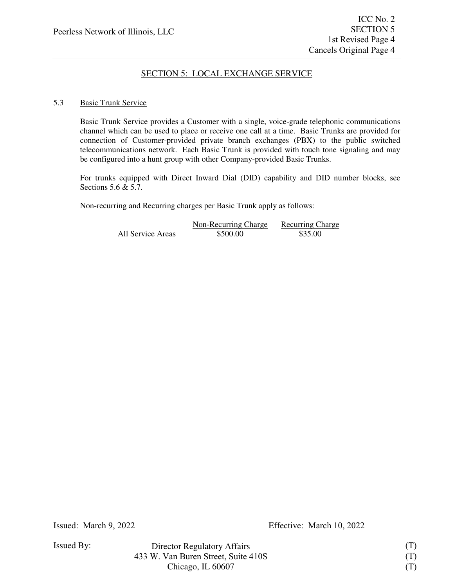### 5.3 Basic Trunk Service

Basic Trunk Service provides a Customer with a single, voice-grade telephonic communications channel which can be used to place or receive one call at a time. Basic Trunks are provided for connection of Customer-provided private branch exchanges (PBX) to the public switched telecommunications network. Each Basic Trunk is provided with touch tone signaling and may be configured into a hunt group with other Company-provided Basic Trunks.

For trunks equipped with Direct Inward Dial (DID) capability and DID number blocks, see Sections 5.6 & 5.7.

Non-recurring and Recurring charges per Basic Trunk apply as follows:

|                   | Non-Recurring Charge | <b>Recurring Charge</b> |
|-------------------|----------------------|-------------------------|
| All Service Areas | \$500.00             | \$35.00                 |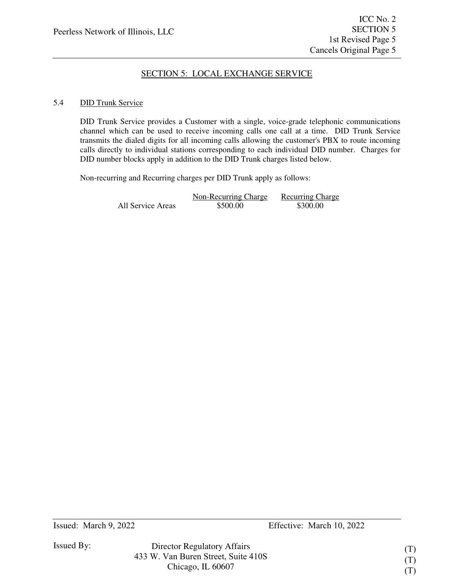### 5.4 DID Trunk Service

DID Trunk Service provides a Customer with a single, voice-grade telephonic communications channel which can be used to receive incoming calls one call at a time. DID Trunk Service transmits the dialed digits for all incoming calls allowing the customer's PBX to route incoming calls directly to individual stations corresponding to each individual DID number. Charges for DID number blocks apply in addition to the DID Trunk charges listed below.

Non-recurring and Recurring charges per DID Trunk apply as follows:

|                   | Non-Recurring Charge | <b>Recurring Charge</b> |
|-------------------|----------------------|-------------------------|
| All Service Areas | \$500.00             | \$300.00                |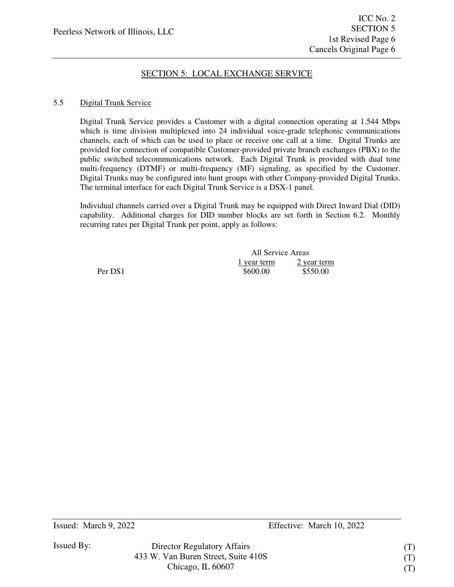### 5.5 Digital Trunk Service

Digital Trunk Service provides a Customer with a digital connection operating at 1.544 Mbps which is time division multiplexed into 24 individual voice-grade telephonic communications channels, each of which can be used to place or receive one call at a time. Digital Trunks are provided for connection of compatible Customer-provided private branch exchanges (PBX) to the public switched telecommunications network. Each Digital Trunk is provided with dual tone multi-frequency (DTMF) or multi-frequency (MF) signaling, as specified by the Customer. Digital Trunks may be configured into hunt groups with other Company-provided Digital Trunks. The terminal interface for each Digital Trunk Service is a DSX-1 panel.

Individual channels carried over a Digital Trunk may be equipped with Direct Inward Dial (DID) capability. Additional charges for DID number blocks are set forth in Section 6.2. Monthly recurring rates per Digital Trunk per point, apply as follows:

|         | All Service Areas |             |
|---------|-------------------|-------------|
|         | 1 year term       | 2 year term |
| Per DS1 | \$600.00          | \$550.00    |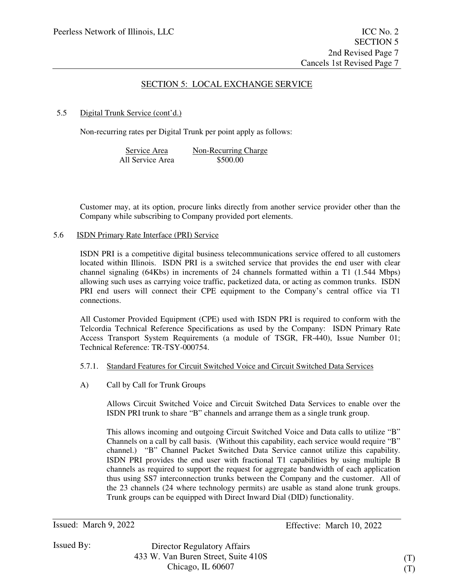### 5.5 Digital Trunk Service (cont'd.)

Non-recurring rates per Digital Trunk per point apply as follows:

| Service Area     | Non-Recurring Charge |
|------------------|----------------------|
| All Service Area | \$500.00             |

Customer may, at its option, procure links directly from another service provider other than the Company while subscribing to Company provided port elements.

5.6 ISDN Primary Rate Interface (PRI) Service

ISDN PRI is a competitive digital business telecommunications service offered to all customers located within Illinois. ISDN PRI is a switched service that provides the end user with clear channel signaling (64Kbs) in increments of 24 channels formatted within a T1 (1.544 Mbps) allowing such uses as carrying voice traffic, packetized data, or acting as common trunks. ISDN PRI end users will connect their CPE equipment to the Company's central office via T1 connections.

All Customer Provided Equipment (CPE) used with ISDN PRI is required to conform with the Telcordia Technical Reference Specifications as used by the Company: ISDN Primary Rate Access Transport System Requirements (a module of TSGR, FR-440), Issue Number 01; Technical Reference: TR-TSY-000754.

- 5.7.1. Standard Features for Circuit Switched Voice and Circuit Switched Data Services
- A) Call by Call for Trunk Groups

Allows Circuit Switched Voice and Circuit Switched Data Services to enable over the ISDN PRI trunk to share "B" channels and arrange them as a single trunk group.

This allows incoming and outgoing Circuit Switched Voice and Data calls to utilize "B" Channels on a call by call basis. (Without this capability, each service would require "B" channel.) "B" Channel Packet Switched Data Service cannot utilize this capability. ISDN PRI provides the end user with fractional T1 capabilities by using multiple B channels as required to support the request for aggregate bandwidth of each application thus using SS7 interconnection trunks between the Company and the customer. All of the 23 channels (24 where technology permits) are usable as stand alone trunk groups. Trunk groups can be equipped with Direct Inward Dial (DID) functionality.

Director Regulatory Affairs 433 W. Van Buren Street, Suite 410S Chicago, IL 60607

(T) (T)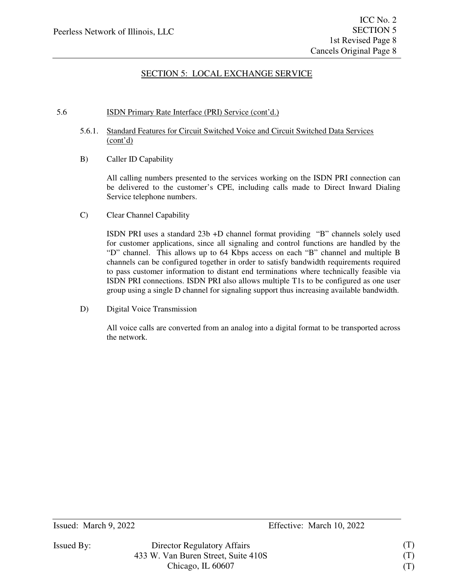### 5.6 ISDN Primary Rate Interface (PRI) Service (cont'd.)

- 5.6.1. Standard Features for Circuit Switched Voice and Circuit Switched Data Services (cont'd)
- B) Caller ID Capability

All calling numbers presented to the services working on the ISDN PRI connection can be delivered to the customer's CPE, including calls made to Direct Inward Dialing Service telephone numbers.

C) Clear Channel Capability

ISDN PRI uses a standard 23b +D channel format providing "B" channels solely used for customer applications, since all signaling and control functions are handled by the "D" channel. This allows up to 64 Kbps access on each "B" channel and multiple B channels can be configured together in order to satisfy bandwidth requirements required to pass customer information to distant end terminations where technically feasible via ISDN PRI connections. ISDN PRI also allows multiple T1s to be configured as one user group using a single D channel for signaling support thus increasing available bandwidth.

D) Digital Voice Transmission

All voice calls are converted from an analog into a digital format to be transported across the network.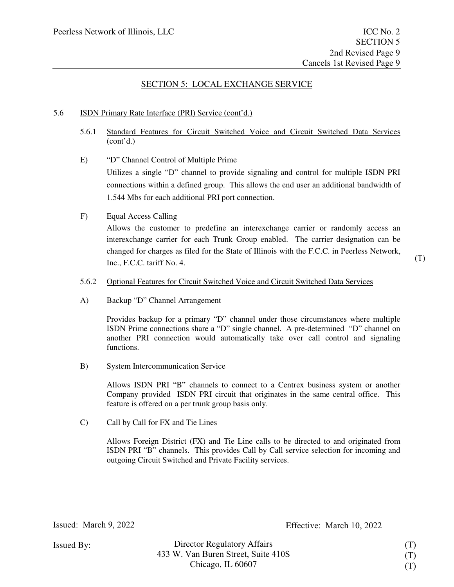### 5.6 ISDN Primary Rate Interface (PRI) Service (cont'd.)

- 5.6.1 Standard Features for Circuit Switched Voice and Circuit Switched Data Services  $(cont'd.)$
- E) "D" Channel Control of Multiple Prime

Utilizes a single "D" channel to provide signaling and control for multiple ISDN PRI connections within a defined group. This allows the end user an additional bandwidth of 1.544 Mbs for each additional PRI port connection.

### F) Equal Access Calling

Allows the customer to predefine an interexchange carrier or randomly access an interexchange carrier for each Trunk Group enabled. The carrier designation can be changed for charges as filed for the State of Illinois with the F.C.C. in Peerless Network, Inc., F.C.C. tariff No. 4.

(T)

#### 5.6.2 Optional Features for Circuit Switched Voice and Circuit Switched Data Services

A) Backup "D" Channel Arrangement

Provides backup for a primary "D" channel under those circumstances where multiple ISDN Prime connections share a "D" single channel. A pre-determined "D" channel on another PRI connection would automatically take over call control and signaling functions.

B) System Intercommunication Service

Allows ISDN PRI "B" channels to connect to a Centrex business system or another Company provided ISDN PRI circuit that originates in the same central office. This feature is offered on a per trunk group basis only.

C) Call by Call for FX and Tie Lines

Allows Foreign District (FX) and Tie Line calls to be directed to and originated from ISDN PRI "B" channels. This provides Call by Call service selection for incoming and outgoing Circuit Switched and Private Facility services.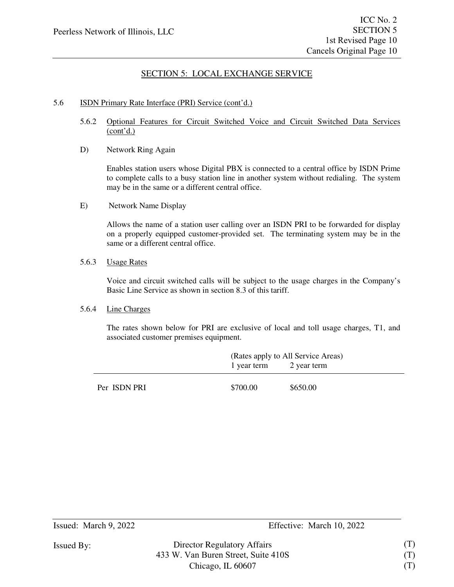#### 5.6 ISDN Primary Rate Interface (PRI) Service (cont'd.)

- 5.6.2 Optional Features for Circuit Switched Voice and Circuit Switched Data Services  $\frac{1}{\text{(cont'd.)}}$
- D) Network Ring Again

Enables station users whose Digital PBX is connected to a central office by ISDN Prime to complete calls to a busy station line in another system without redialing. The system may be in the same or a different central office.

E) Network Name Display

Allows the name of a station user calling over an ISDN PRI to be forwarded for display on a properly equipped customer-provided set. The terminating system may be in the same or a different central office.

5.6.3 Usage Rates

Voice and circuit switched calls will be subject to the usage charges in the Company's Basic Line Service as shown in section 8.3 of this tariff.

#### 5.6.4 Line Charges

The rates shown below for PRI are exclusive of local and toll usage charges, T1, and associated customer premises equipment.

|              | (Rates apply to All Service Areas) |                         |  |
|--------------|------------------------------------|-------------------------|--|
|              |                                    | 1 year term 2 year term |  |
|              |                                    |                         |  |
| Per ISDN PRI | \$700.00                           | \$650.00                |  |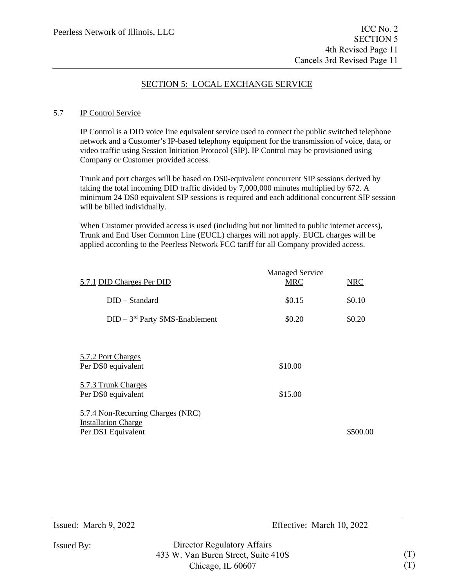### 5.7 IP Control Service

IP Control is a DID voice line equivalent service used to connect the public switched telephone network and a Customer's IP-based telephony equipment for the transmission of voice, data, or video traffic using Session Initiation Protocol (SIP). IP Control may be provisioned using Company or Customer provided access.

Trunk and port charges will be based on DS0-equivalent concurrent SIP sessions derived by taking the total incoming DID traffic divided by 7,000,000 minutes multiplied by 672. A minimum 24 DS0 equivalent SIP sessions is required and each additional concurrent SIP session will be billed individually.

When Customer provided access is used (including but not limited to public internet access), Trunk and End User Common Line (EUCL) charges will not apply. EUCL charges will be applied according to the Peerless Network FCC tariff for all Company provided access.

| 5.7.1 DID Charges Per DID                                                             | <b>Managed Service</b><br><b>MRC</b> | <b>NRC</b> |
|---------------------------------------------------------------------------------------|--------------------------------------|------------|
| $DID - Standard$                                                                      | \$0.15                               | \$0.10     |
| $DID - 3rd$ Party SMS-Enablement                                                      | \$0.20                               | \$0.20     |
|                                                                                       |                                      |            |
| 5.7.2 Port Charges<br>Per DS0 equivalent                                              | \$10.00                              |            |
| 5.7.3 Trunk Charges<br>Per DS0 equivalent                                             | \$15.00                              |            |
| 5.7.4 Non-Recurring Charges (NRC)<br><b>Installation Charge</b><br>Per DS1 Equivalent |                                      | \$500.00   |
|                                                                                       |                                      |            |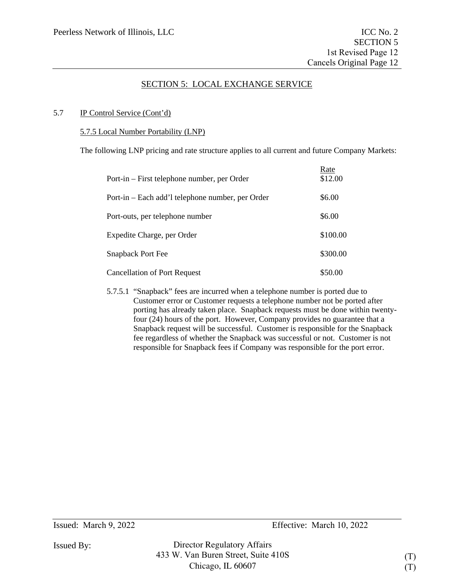### 5.7 IP Control Service (Cont'd)

### 5.7.5 Local Number Portability (LNP)

The following LNP pricing and rate structure applies to all current and future Company Markets:

| Port-in – First telephone number, per Order      | Rate<br>\$12.00 |
|--------------------------------------------------|-----------------|
| Port-in – Each add'l telephone number, per Order | \$6.00          |
| Port-outs, per telephone number                  | \$6.00          |
| Expedite Charge, per Order                       | \$100.00        |
| <b>Snapback Port Fee</b>                         | \$300.00        |
| <b>Cancellation of Port Request</b>              | \$50.00         |

5.7.5.1 "Snapback" fees are incurred when a telephone number is ported due to Customer error or Customer requests a telephone number not be ported after porting has already taken place. Snapback requests must be done within twentyfour (24) hours of the port. However, Company provides no guarantee that a Snapback request will be successful. Customer is responsible for the Snapback fee regardless of whether the Snapback was successful or not. Customer is not responsible for Snapback fees if Company was responsible for the port error.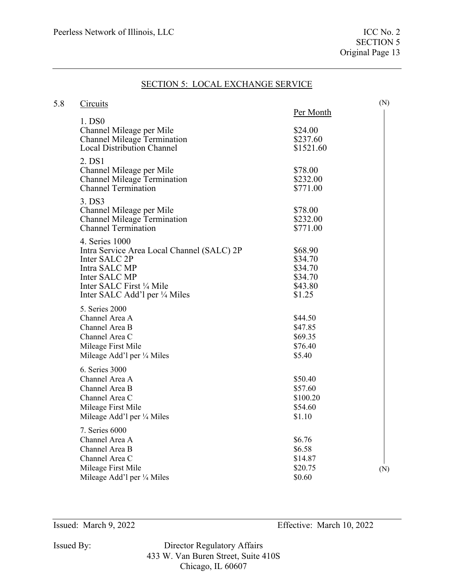| 5.8 | Circuits                                                                                                                                                                     |                                                               | (N) |
|-----|------------------------------------------------------------------------------------------------------------------------------------------------------------------------------|---------------------------------------------------------------|-----|
|     |                                                                                                                                                                              | Per Month                                                     |     |
|     | 1. DS0<br>Channel Mileage per Mile<br><b>Channel Mileage Termination</b><br><b>Local Distribution Channel</b>                                                                | \$24.00<br>\$237.60<br>\$1521.60                              |     |
|     | 2. DS1<br>Channel Mileage per Mile<br><b>Channel Mileage Termination</b><br><b>Channel Termination</b>                                                                       | \$78.00<br>\$232.00<br>\$771.00                               |     |
|     | 3. DS3<br>Channel Mileage per Mile<br><b>Channel Mileage Termination</b><br><b>Channel Termination</b>                                                                       | \$78.00<br>\$232.00<br>\$771.00                               |     |
|     | 4. Series 1000<br>Intra Service Area Local Channel (SALC) 2P<br>Inter SALC 2P<br>Intra SALC MP<br>Inter SALC MP<br>Inter SALC First 1/4 Mile<br>Inter SALC Add'l per ¼ Miles | \$68.90<br>\$34.70<br>\$34.70<br>\$34.70<br>\$43.80<br>\$1.25 |     |
|     | 5. Series 2000<br>Channel Area A<br>Channel Area B<br>Channel Area C<br>Mileage First Mile<br>Mileage Add'l per 1/4 Miles                                                    | \$44.50<br>\$47.85<br>\$69.35<br>\$76.40<br>\$5.40            |     |
|     | 6. Series 3000<br>Channel Area A<br>Channel Area B<br>Channel Area C<br>Mileage First Mile<br>Mileage Add'l per 1/4 Miles                                                    | \$50.40<br>\$57.60<br>\$100.20<br>\$54.60<br>\$1.10           |     |
|     | 7. Series 6000<br>Channel Area A<br>Channel Area B<br>Channel Area C<br>Mileage First Mile<br>Mileage Add'l per 1/4 Miles                                                    | \$6.76<br>\$6.58<br>\$14.87<br>\$20.75<br>\$0.60              | (N) |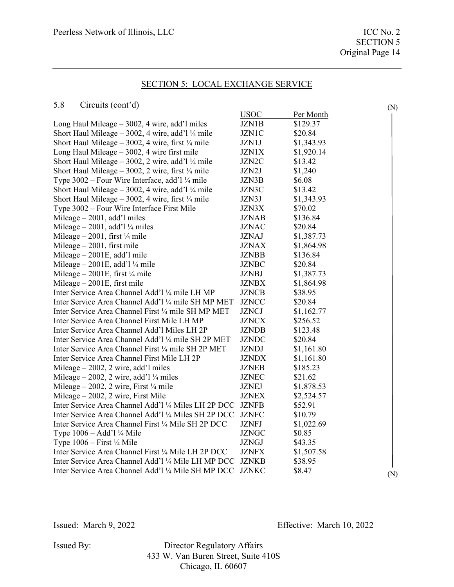(N)

### SECTION 5: LOCAL EXCHANGE SERVICE

#### 5.8 Circuits (cont'd)

|                                                               | <b>USOC</b>  | Per Month  |     |
|---------------------------------------------------------------|--------------|------------|-----|
| Long Haul Mileage $-3002$ , 4 wire, add'l miles               | JZN1B        | \$129.37   |     |
| Short Haul Mileage $-3002$ , 4 wire, add'l ¼ mile             | <b>JZN1C</b> | \$20.84    |     |
| Short Haul Mileage $-3002$ , 4 wire, first $\frac{1}{4}$ mile | JZN1J        | \$1,343.93 |     |
| Long Haul Mileage $-3002$ , 4 wire first mile                 | <b>JZN1X</b> | \$1,920.14 |     |
| Short Haul Mileage - 3002, 2 wire, add'l 1/4 mile             | JZN2C        | \$13.42    |     |
| Short Haul Mileage - 3002, 2 wire, first 1/4 mile             | JZN2J        | \$1,240    |     |
| Type 3002 – Four Wire Interface, add'l 1/4 mile               | JZN3B        | \$6.08     |     |
| Short Haul Mileage $-3002$ , 4 wire, add'l ¼ mile             | JZN3C        | \$13.42    |     |
| Short Haul Mileage $-3002$ , 4 wire, first $\frac{1}{4}$ mile | JZN3J        | \$1,343.93 |     |
| Type 3002 – Four Wire Interface First Mile                    | <b>JZN3X</b> | \$70.02    |     |
| Mileage $-2001$ , add'l miles                                 | <b>JZNAB</b> | \$136.84   |     |
| Mileage $-2001$ , add'l ¼ miles                               | <b>JZNAC</b> | \$20.84    |     |
| Mileage $-2001$ , first ¼ mile                                | <b>JZNAJ</b> | \$1,387.73 |     |
| Mileage $-2001$ , first mile                                  | <b>JZNAX</b> | \$1,864.98 |     |
| Mileage $-2001E$ , add'l mile                                 | <b>JZNBB</b> | \$136.84   |     |
| Mileage $-2001E$ , add'l ¼ mile                               | <b>JZNBC</b> | \$20.84    |     |
| Mileage $-2001E$ , first ¼ mile                               | <b>JZNBJ</b> | \$1,387.73 |     |
| Mileage $-2001E$ , first mile                                 | <b>JZNBX</b> | \$1,864.98 |     |
| Inter Service Area Channel Add'l 1/4 mile LH MP               | <b>JZNCB</b> | \$38.95    |     |
| Inter Service Area Channel Add'l ¼ mile SH MP MET             | <b>JZNCC</b> | \$20.84    |     |
| Inter Service Area Channel First 1/4 mile SH MP MET           | <b>JZNCJ</b> | \$1,162.77 |     |
| Inter Service Area Channel First Mile LH MP                   | <b>JZNCX</b> | \$256.52   |     |
| Inter Service Area Channel Add'l Miles LH 2P                  | <b>JZNDB</b> | \$123.48   |     |
| Inter Service Area Channel Add'l 1/4 mile SH 2P MET           | <b>JZNDC</b> | \$20.84    |     |
| Inter Service Area Channel First 1/4 mile SH 2P MET           | <b>JZNDJ</b> | \$1,161.80 |     |
| Inter Service Area Channel First Mile LH 2P                   | <b>JZNDX</b> | \$1,161.80 |     |
| Mileage - 2002, 2 wire, add'l miles                           | JZNEB        | \$185.23   |     |
| Mileage $-2002$ , 2 wire, add'l ¼ miles                       | <b>JZNEC</b> | \$21.62    |     |
| Mileage $-2002$ , 2 wire, First $\frac{1}{4}$ mile            | <b>JZNEJ</b> | \$1,878.53 |     |
| Mileage $-2002$ , 2 wire, First Mile                          | <b>JZNEX</b> | \$2,524.57 |     |
| Inter Service Area Channel Add'l ¼ Miles LH 2P DCC            | <b>JZNFB</b> | \$52.91    |     |
| Inter Service Area Channel Add'l ¼ Miles SH 2P DCC            | <b>JZNFC</b> | \$10.79    |     |
| Inter Service Area Channel First 1/4 Mile SH 2P DCC           | <b>JZNFJ</b> | \$1,022.69 |     |
| Type $1006 - Add'1\frac{1}{4}$ Mile                           | <b>JZNGC</b> | \$0.85     |     |
| Type $1006 -$ First ¼ Mile                                    | <b>JZNGJ</b> | \$43.35    |     |
| Inter Service Area Channel First 1/4 Mile LH 2P DCC           | <b>JZNFX</b> | \$1,507.58 |     |
| Inter Service Area Channel Add'l ¼ Mile LH MP DCC             | JZNKB        | \$38.95    |     |
| Inter Service Area Channel Add'l ¼ Mile SH MP DCC             | <b>JZNKC</b> | \$8.47     | (N) |
|                                                               |              |            |     |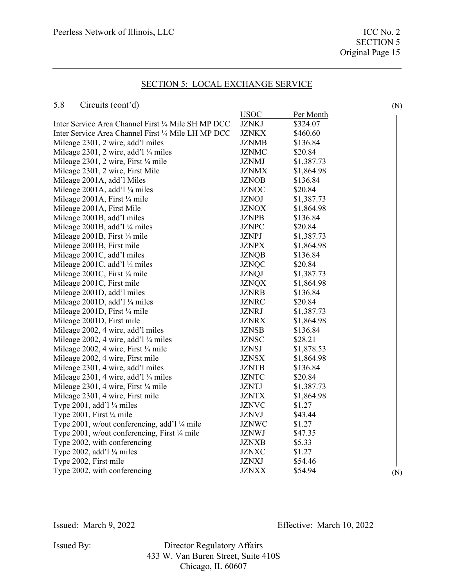### 5.8 Circuits (cont'd)

|                                                     | <b>USOC</b>  | Per Month  |     |
|-----------------------------------------------------|--------------|------------|-----|
| Inter Service Area Channel First 1/4 Mile SH MP DCC | <b>JZNKJ</b> | \$324.07   |     |
| Inter Service Area Channel First 1/4 Mile LH MP DCC | <b>JZNKX</b> | \$460.60   |     |
| Mileage 2301, 2 wire, add'l miles                   | <b>JZNMB</b> | \$136.84   |     |
| Mileage 2301, 2 wire, add'l $\frac{1}{4}$ miles     | <b>JZNMC</b> | \$20.84    |     |
| Mileage 2301, 2 wire, First 1/4 mile                | <b>JZNMJ</b> | \$1,387.73 |     |
| Mileage 2301, 2 wire, First Mile                    | <b>JZNMX</b> | \$1,864.98 |     |
| Mileage 2001A, add'l Miles                          | <b>JZNOB</b> | \$136.84   |     |
| Mileage 2001A, add'l 1/4 miles                      | <b>JZNOC</b> | \$20.84    |     |
| Mileage 2001A, First 1/4 mile                       | <b>JZNOJ</b> | \$1,387.73 |     |
| Mileage 2001A, First Mile                           | <b>JZNOX</b> | \$1,864.98 |     |
| Mileage 2001B, add'l miles                          | <b>JZNPB</b> | \$136.84   |     |
| Mileage 2001B, add'l 1/4 miles                      | <b>JZNPC</b> | \$20.84    |     |
| Mileage 2001B, First 1/4 mile                       | <b>JZNPJ</b> | \$1,387.73 |     |
| Mileage 2001B, First mile                           | <b>JZNPX</b> | \$1,864.98 |     |
| Mileage 2001C, add'l miles                          | <b>JZNQB</b> | \$136.84   |     |
| Mileage 2001C, add'l $\frac{1}{4}$ miles            | <b>JZNQC</b> | \$20.84    |     |
| Mileage 2001C, First 1/4 mile                       | <b>JZNQJ</b> | \$1,387.73 |     |
| Mileage 2001C, First mile                           | <b>JZNQX</b> | \$1,864.98 |     |
| Mileage 2001D, add'l miles                          | <b>JZNRB</b> | \$136.84   |     |
| Mileage 2001D, add'l 1/4 miles                      | <b>JZNRC</b> | \$20.84    |     |
| Mileage 2001D, First 1/4 mile                       | <b>JZNRJ</b> | \$1,387.73 |     |
| Mileage 2001D, First mile                           | <b>JZNRX</b> | \$1,864.98 |     |
| Mileage 2002, 4 wire, add'l miles                   | <b>JZNSB</b> | \$136.84   |     |
| Mileage 2002, 4 wire, add'l 1/4 miles               | <b>JZNSC</b> | \$28.21    |     |
| Mileage 2002, 4 wire, First 1/4 mile                | <b>JZNSJ</b> | \$1,878.53 |     |
| Mileage 2002, 4 wire, First mile                    | <b>JZNSX</b> | \$1,864.98 |     |
| Mileage 2301, 4 wire, add'l miles                   | <b>JZNTB</b> | \$136.84   |     |
| Mileage 2301, 4 wire, add'l $\frac{1}{4}$ miles     | <b>JZNTC</b> | \$20.84    |     |
| Mileage 2301, 4 wire, First 1/4 mile                | <b>JZNTJ</b> | \$1,387.73 |     |
| Mileage 2301, 4 wire, First mile                    | <b>JZNTX</b> | \$1,864.98 |     |
| Type 2001, add'l 1/4 miles                          | <b>JZNVC</b> | \$1.27     |     |
| Type 2001, First $\frac{1}{4}$ mile                 | <b>JZNVJ</b> | \$43.44    |     |
| Type 2001, w/out conferencing, add'l 1/4 mile       | <b>JZNWC</b> | \$1.27     |     |
| Type 2001, w/out conferencing, First 1/4 mile       | <b>JZNWJ</b> | \$47.35    |     |
| Type 2002, with conferencing                        | <b>JZNXB</b> | \$5.33     |     |
| Type 2002, add'l $\frac{1}{4}$ miles                | <b>JZNXC</b> | \$1.27     |     |
| Type 2002, First mile                               | <b>JZNXJ</b> | \$54.46    |     |
| Type 2002, with conferencing                        | <b>JZNXX</b> | \$54.94    | (N) |
|                                                     |              |            |     |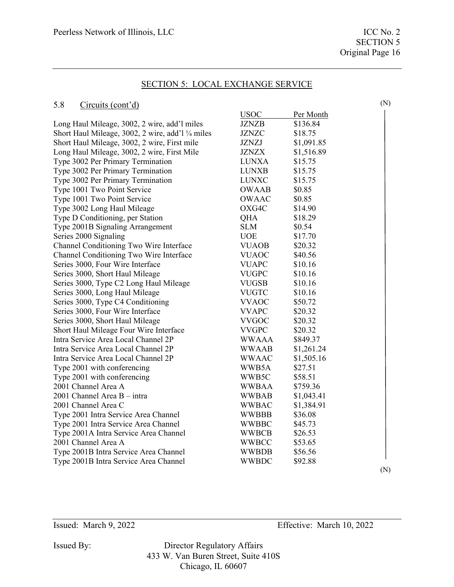(N)

### SECTION 5: LOCAL EXCHANGE SERVICE

#### 5.8 Circuits (cont'd)

|                                                   | <b>USOC</b>  | Per Month  |  |
|---------------------------------------------------|--------------|------------|--|
| Long Haul Mileage, 3002, 2 wire, add'l miles      | <b>JZNZB</b> | \$136.84   |  |
| Short Haul Mileage, 3002, 2 wire, add'l 1/4 miles | <b>JZNZC</b> | \$18.75    |  |
| Short Haul Mileage, 3002, 2 wire, First mile      | <b>JZNZJ</b> | \$1,091.85 |  |
| Long Haul Mileage, 3002, 2 wire, First Mile       | <b>JZNZX</b> | \$1,516.89 |  |
| Type 3002 Per Primary Termination                 | <b>LUNXA</b> | \$15.75    |  |
| Type 3002 Per Primary Termination                 | <b>LUNXB</b> | \$15.75    |  |
| Type 3002 Per Primary Termination                 | <b>LUNXC</b> | \$15.75    |  |
| Type 1001 Two Point Service                       | <b>OWAAB</b> | \$0.85     |  |
| Type 1001 Two Point Service                       | <b>OWAAC</b> | \$0.85     |  |
| Type 3002 Long Haul Mileage                       | OXG4C        | \$14.90    |  |
| Type D Conditioning, per Station                  | QHA          | \$18.29    |  |
| Type 2001B Signaling Arrangement                  | <b>SLM</b>   | \$0.54     |  |
| Series 2000 Signaling                             | <b>UOE</b>   | \$17.70    |  |
| Channel Conditioning Two Wire Interface           | <b>VUAOB</b> | \$20.32    |  |
| Channel Conditioning Two Wire Interface           | <b>VUAOC</b> | \$40.56    |  |
| Series 3000, Four Wire Interface                  | <b>VUAPC</b> | \$10.16    |  |
| Series 3000, Short Haul Mileage                   | <b>VUGPC</b> | \$10.16    |  |
| Series 3000, Type C2 Long Haul Mileage            | <b>VUGSB</b> | \$10.16    |  |
| Series 3000, Long Haul Mileage                    | <b>VUGTC</b> | \$10.16    |  |
| Series 3000, Type C4 Conditioning                 | <b>VVAOC</b> | \$50.72    |  |
| Series 3000, Four Wire Interface                  | <b>VVAPC</b> | \$20.32    |  |
| Series 3000, Short Haul Mileage                   | <b>VVGOC</b> | \$20.32    |  |
| Short Haul Mileage Four Wire Interface            | <b>VVGPC</b> | \$20.32    |  |
| Intra Service Area Local Channel 2P               | <b>WWAAA</b> | \$849.37   |  |
| Intra Service Area Local Channel 2P               | <b>WWAAB</b> | \$1,261.24 |  |
| Intra Service Area Local Channel 2P               | <b>WWAAC</b> | \$1,505.16 |  |
| Type 2001 with conferencing                       | WWB5A        | \$27.51    |  |
| Type 2001 with conferencing                       | WWB5C        | \$58.51    |  |
| 2001 Channel Area A                               | <b>WWBAA</b> | \$759.36   |  |
| 2001 Channel Area B - intra                       | <b>WWBAB</b> | \$1,043.41 |  |
| 2001 Channel Area C                               | <b>WWBAC</b> | \$1,384.91 |  |
| Type 2001 Intra Service Area Channel              | <b>WWBBB</b> | \$36.08    |  |
| Type 2001 Intra Service Area Channel              | <b>WWBBC</b> | \$45.73    |  |
| Type 2001A Intra Service Area Channel             | <b>WWBCB</b> | \$26.53    |  |
| 2001 Channel Area A                               | <b>WWBCC</b> | \$53.65    |  |
| Type 2001B Intra Service Area Channel             | <b>WWBDB</b> | \$56.56    |  |
| Type 2001B Intra Service Area Channel             | <b>WWBDC</b> | \$92.88    |  |

(N)

Issued: March 9, 2022 Effective: March 10, 2022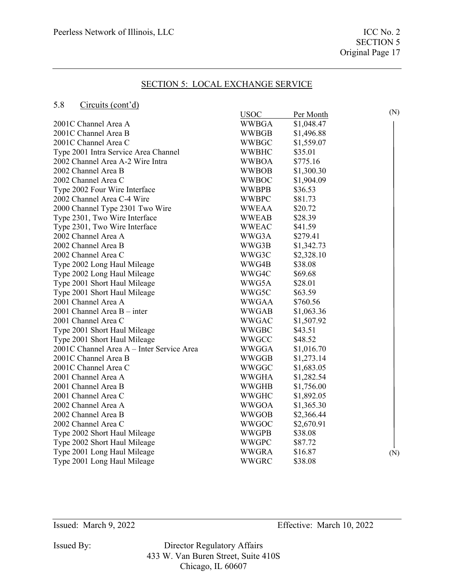### 5.8 Circuits (cont'd)

| ິ∙∙<br>$C$ ncuns (com $u_t$               |              |            |     |
|-------------------------------------------|--------------|------------|-----|
|                                           | <b>USOC</b>  | Per Month  | (N) |
| 2001C Channel Area A                      | <b>WWBGA</b> | \$1,048.47 |     |
| 2001C Channel Area B                      | <b>WWBGB</b> | \$1,496.88 |     |
| 2001C Channel Area C                      | <b>WWBGC</b> | \$1,559.07 |     |
| Type 2001 Intra Service Area Channel      | <b>WWBHC</b> | \$35.01    |     |
| 2002 Channel Area A-2 Wire Intra          | <b>WWBOA</b> | \$775.16   |     |
| 2002 Channel Area B                       | <b>WWBOB</b> | \$1,300.30 |     |
| 2002 Channel Area C                       | <b>WWBOC</b> | \$1,904.09 |     |
| Type 2002 Four Wire Interface             | <b>WWBPB</b> | \$36.53    |     |
| 2002 Channel Area C-4 Wire                | <b>WWBPC</b> | \$81.73    |     |
| 2000 Channel Type 2301 Two Wire           | <b>WWEAA</b> | \$20.72    |     |
| Type 2301, Two Wire Interface             | <b>WWEAB</b> | \$28.39    |     |
| Type 2301, Two Wire Interface             | <b>WWEAC</b> | \$41.59    |     |
| 2002 Channel Area A                       | WWG3A        | \$279.41   |     |
| 2002 Channel Area B                       | WWG3B        | \$1,342.73 |     |
| 2002 Channel Area C                       | WWG3C        | \$2,328.10 |     |
| Type 2002 Long Haul Mileage               | WWG4B        | \$38.08    |     |
| Type 2002 Long Haul Mileage               | WWG4C        | \$69.68    |     |
| Type 2001 Short Haul Mileage              | WWG5A        | \$28.01    |     |
| Type 2001 Short Haul Mileage              | WWG5C        | \$63.59    |     |
| 2001 Channel Area A                       | <b>WWGAA</b> | \$760.56   |     |
| 2001 Channel Area B - inter               | <b>WWGAB</b> | \$1,063.36 |     |
| 2001 Channel Area C                       | <b>WWGAC</b> | \$1,507.92 |     |
| Type 2001 Short Haul Mileage              | <b>WWGBC</b> | \$43.51    |     |
| Type 2001 Short Haul Mileage              | <b>WWGCC</b> | \$48.52    |     |
| 2001C Channel Area A - Inter Service Area | <b>WWGGA</b> | \$1,016.70 |     |
| 2001C Channel Area B                      | <b>WWGGB</b> | \$1,273.14 |     |
| 2001C Channel Area C                      | WWGGC        | \$1,683.05 |     |
| 2001 Channel Area A                       | <b>WWGHA</b> | \$1,282.54 |     |
| 2001 Channel Area B                       | <b>WWGHB</b> | \$1,756.00 |     |
| 2001 Channel Area C                       | <b>WWGHC</b> | \$1,892.05 |     |
| 2002 Channel Area A                       | <b>WWGOA</b> | \$1,365.30 |     |
| 2002 Channel Area B                       | <b>WWGOB</b> | \$2,366.44 |     |
| 2002 Channel Area C                       | <b>WWGOC</b> | \$2,670.91 |     |
| Type 2002 Short Haul Mileage              | <b>WWGPB</b> | \$38.08    |     |
| Type 2002 Short Haul Mileage              | <b>WWGPC</b> | \$87.72    |     |
| Type 2001 Long Haul Mileage               | <b>WWGRA</b> | \$16.87    | (N) |
| Type 2001 Long Haul Mileage               | <b>WWGRC</b> | \$38.08    |     |

Issued By: Director Regulatory Affairs 433 W. Van Buren Street, Suite 410S Chicago, IL 60607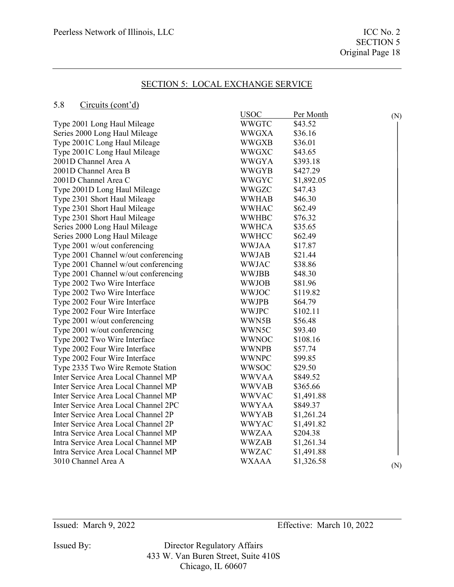### 5.8 Circuits (cont'd)

|                                      | <b>USOC</b>  | Per Month  | (N) |
|--------------------------------------|--------------|------------|-----|
| Type 2001 Long Haul Mileage          | <b>WWGTC</b> | \$43.52    |     |
| Series 2000 Long Haul Mileage        | <b>WWGXA</b> | \$36.16    |     |
| Type 2001C Long Haul Mileage         | <b>WWGXB</b> | \$36.01    |     |
| Type 2001C Long Haul Mileage         | <b>WWGXC</b> | \$43.65    |     |
| 2001D Channel Area A                 | <b>WWGYA</b> | \$393.18   |     |
| 2001D Channel Area B                 | <b>WWGYB</b> | \$427.29   |     |
| 2001D Channel Area C                 | <b>WWGYC</b> | \$1,892.05 |     |
| Type 2001D Long Haul Mileage         | <b>WWGZC</b> | \$47.43    |     |
| Type 2301 Short Haul Mileage         | <b>WWHAB</b> | \$46.30    |     |
| Type 2301 Short Haul Mileage         | <b>WWHAC</b> | \$62.49    |     |
| Type 2301 Short Haul Mileage         | <b>WWHBC</b> | \$76.32    |     |
| Series 2000 Long Haul Mileage        | <b>WWHCA</b> | \$35.65    |     |
| Series 2000 Long Haul Mileage        | WWHCC        | \$62.49    |     |
| Type 2001 w/out conferencing         | <b>WWJAA</b> | \$17.87    |     |
| Type 2001 Channel w/out conferencing | <b>WWJAB</b> | \$21.44    |     |
| Type 2001 Channel w/out conferencing | <b>WWJAC</b> | \$38.86    |     |
| Type 2001 Channel w/out conferencing | <b>WWJBB</b> | \$48.30    |     |
| Type 2002 Two Wire Interface         | <b>WWJOB</b> | \$81.96    |     |
| Type 2002 Two Wire Interface         | <b>WWJOC</b> | \$119.82   |     |
| Type 2002 Four Wire Interface        | <b>WWJPB</b> | \$64.79    |     |
| Type 2002 Four Wire Interface        | <b>WWJPC</b> | \$102.11   |     |
| Type 2001 w/out conferencing         | WWN5B        | \$56.48    |     |
| Type 2001 w/out conferencing         | WWN5C        | \$93.40    |     |
| Type 2002 Two Wire Interface         | <b>WWNOC</b> | \$108.16   |     |
| Type 2002 Four Wire Interface        | <b>WWNPB</b> | \$57.74    |     |
| Type 2002 Four Wire Interface        | <b>WWNPC</b> | \$99.85    |     |
| Type 2335 Two Wire Remote Station    | <b>WWSOC</b> | \$29.50    |     |
| Inter Service Area Local Channel MP  | <b>WWVAA</b> | \$849.52   |     |
| Inter Service Area Local Channel MP  | <b>WWVAB</b> | \$365.66   |     |
| Inter Service Area Local Channel MP  | <b>WWVAC</b> | \$1,491.88 |     |
| Inter Service Area Local Channel 2PC | <b>WWYAA</b> | \$849.37   |     |
| Inter Service Area Local Channel 2P  | <b>WWYAB</b> | \$1,261.24 |     |
| Inter Service Area Local Channel 2P  | WWYAC        | \$1,491.82 |     |
| Intra Service Area Local Channel MP  | <b>WWZAA</b> | \$204.38   |     |
| Intra Service Area Local Channel MP  | <b>WWZAB</b> | \$1,261.34 |     |
| Intra Service Area Local Channel MP  | <b>WWZAC</b> | \$1,491.88 |     |
| 3010 Channel Area A                  | <b>WXAAA</b> | \$1,326.58 | (N) |
|                                      |              |            |     |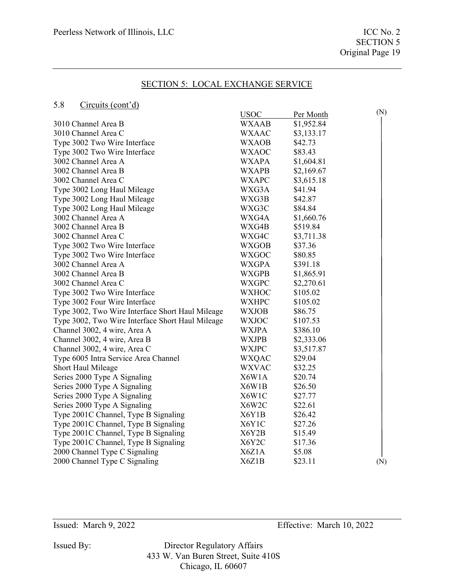### 5.8 Circuits (cont'd)

| ິ∙∙<br>$C$ ncuns (com $u_t$                      |              |            |     |
|--------------------------------------------------|--------------|------------|-----|
|                                                  | <b>USOC</b>  | Per Month  | (N) |
| 3010 Channel Area B                              | <b>WXAAB</b> | \$1,952.84 |     |
| 3010 Channel Area C                              | <b>WXAAC</b> | \$3,133.17 |     |
| Type 3002 Two Wire Interface                     | <b>WXAOB</b> | \$42.73    |     |
| Type 3002 Two Wire Interface                     | <b>WXAOC</b> | \$83.43    |     |
| 3002 Channel Area A                              | <b>WXAPA</b> | \$1,604.81 |     |
| 3002 Channel Area B                              | <b>WXAPB</b> | \$2,169.67 |     |
| 3002 Channel Area C                              | <b>WXAPC</b> | \$3,615.18 |     |
| Type 3002 Long Haul Mileage                      | WXG3A        | \$41.94    |     |
| Type 3002 Long Haul Mileage                      | WXG3B        | \$42.87    |     |
| Type 3002 Long Haul Mileage                      | WXG3C        | \$84.84    |     |
| 3002 Channel Area A                              | WXG4A        | \$1,660.76 |     |
| 3002 Channel Area B                              | WXG4B        | \$519.84   |     |
| 3002 Channel Area C                              | WXG4C        | \$3,711.38 |     |
| Type 3002 Two Wire Interface                     | <b>WXGOB</b> | \$37.36    |     |
| Type 3002 Two Wire Interface                     | <b>WXGOC</b> | \$80.85    |     |
| 3002 Channel Area A                              | <b>WXGPA</b> | \$391.18   |     |
| 3002 Channel Area B                              | <b>WXGPB</b> | \$1,865.91 |     |
| 3002 Channel Area C                              | <b>WXGPC</b> | \$2,270.61 |     |
| Type 3002 Two Wire Interface                     | <b>WXHOC</b> | \$105.02   |     |
| Type 3002 Four Wire Interface                    | <b>WXHPC</b> | \$105.02   |     |
| Type 3002, Two Wire Interface Short Haul Mileage | <b>WXJOB</b> | \$86.75    |     |
| Type 3002, Two Wire Interface Short Haul Mileage | <b>WXJOC</b> | \$107.53   |     |
| Channel 3002, 4 wire, Area A                     | <b>WXJPA</b> | \$386.10   |     |
| Channel 3002, 4 wire, Area B                     | <b>WXJPB</b> | \$2,333.06 |     |
| Channel 3002, 4 wire, Area C                     | <b>WXJPC</b> | \$3,517.87 |     |
| Type 6005 Intra Service Area Channel             | <b>WXQAC</b> | \$29.04    |     |
| Short Haul Mileage                               | <b>WXVAC</b> | \$32.25    |     |
| Series 2000 Type A Signaling                     | X6W1A        | \$20.74    |     |
| Series 2000 Type A Signaling                     | X6W1B        | \$26.50    |     |
| Series 2000 Type A Signaling                     | X6W1C        | \$27.77    |     |
| Series 2000 Type A Signaling                     | X6W2C        | \$22.61    |     |
| Type 2001C Channel, Type B Signaling             | X6Y1B        | \$26.42    |     |
| Type 2001C Channel, Type B Signaling             | X6Y1C        | \$27.26    |     |
| Type 2001C Channel, Type B Signaling             | X6Y2B        | \$15.49    |     |
| Type 2001C Channel, Type B Signaling             | X6Y2C        | \$17.36    |     |
| 2000 Channel Type C Signaling                    | X6Z1A        | \$5.08     |     |
| 2000 Channel Type C Signaling                    | X6Z1B        | \$23.11    | (N) |

Issued By: Director Regulatory Affairs 433 W. Van Buren Street, Suite 410S Chicago, IL 60607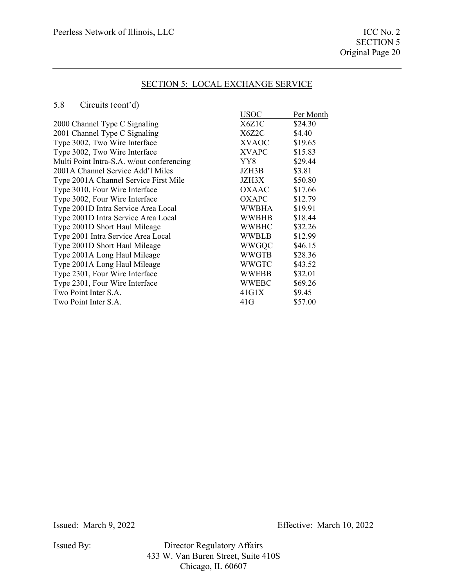### 5.8 Circuits (cont'd)

| <b>USOC</b>  | Per Month |
|--------------|-----------|
| X6Z1C        | \$24.30   |
| X6Z2C        | \$4.40    |
| <b>XVAOC</b> | \$19.65   |
| <b>XVAPC</b> | \$15.83   |
| YY8          | \$29.44   |
| JZH3B        | \$3.81    |
| JZH3X        | \$50.80   |
| <b>OXAAC</b> | \$17.66   |
| OXAPC        | \$12.79   |
| WWBHA        | \$19.91   |
| <b>WWBHB</b> | \$18.44   |
| WWBHC        | \$32.26   |
| WWBLB        | \$12.99   |
| <b>WWGQC</b> | \$46.15   |
| <b>WWGTB</b> | \$28.36   |
| WWGTC        | \$43.52   |
| WWEBB        | \$32.01   |
| <b>WWEBC</b> | \$69.26   |
| 41G1X        | \$9.45    |
| 41G          | \$57.00   |
|              |           |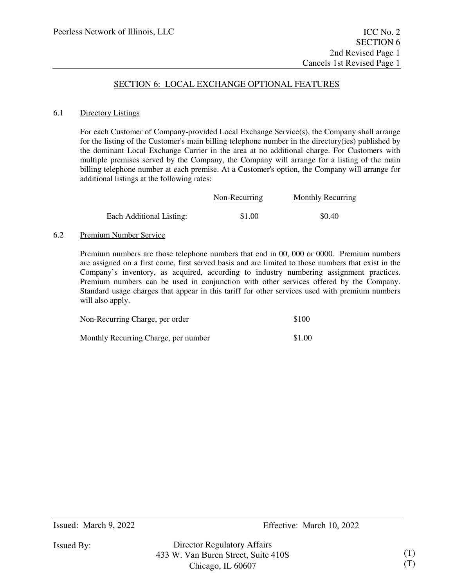### SECTION 6: LOCAL EXCHANGE OPTIONAL FEATURES

#### 6.1 Directory Listings

For each Customer of Company-provided Local Exchange Service(s), the Company shall arrange for the listing of the Customer's main billing telephone number in the directory(ies) published by the dominant Local Exchange Carrier in the area at no additional charge. For Customers with multiple premises served by the Company, the Company will arrange for a listing of the main billing telephone number at each premise. At a Customer's option, the Company will arrange for additional listings at the following rates:

|                          | Non-Recurring | <b>Monthly Recurring</b> |
|--------------------------|---------------|--------------------------|
| Each Additional Listing: | \$1.00        | \$0.40                   |

#### 6.2 Premium Number Service

Premium numbers are those telephone numbers that end in 00, 000 or 0000. Premium numbers are assigned on a first come, first served basis and are limited to those numbers that exist in the Company's inventory, as acquired, according to industry numbering assignment practices. Premium numbers can be used in conjunction with other services offered by the Company. Standard usage charges that appear in this tariff for other services used with premium numbers will also apply.

| Non-Recurring Charge, per order      | \$100  |
|--------------------------------------|--------|
| Monthly Recurring Charge, per number | \$1.00 |

Issued By: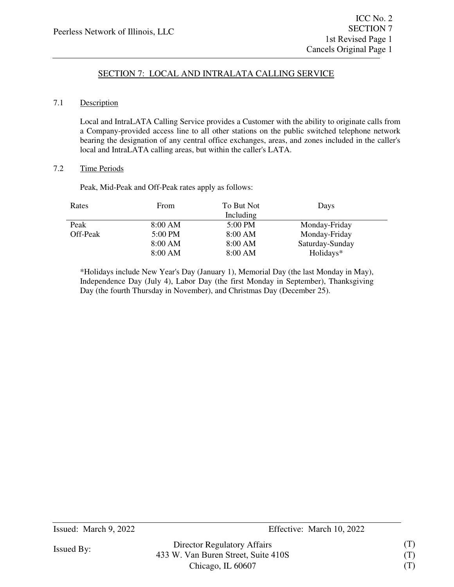# SECTION 7: LOCAL AND INTRALATA CALLING SERVICE

### 7.1 Description

Local and IntraLATA Calling Service provides a Customer with the ability to originate calls from a Company-provided access line to all other stations on the public switched telephone network bearing the designation of any central office exchanges, areas, and zones included in the caller's local and IntraLATA calling areas, but within the caller's LATA.

### 7.2 Time Periods

Peak, Mid-Peak and Off-Peak rates apply as follows:

| Rates    | From    | To But Not | Days            |  |
|----------|---------|------------|-----------------|--|
|          |         | Including  |                 |  |
| Peak     | 8:00 AM | 5:00 PM    | Monday-Friday   |  |
| Off-Peak | 5:00 PM | 8:00 AM    | Monday-Friday   |  |
|          | 8:00 AM | 8:00 AM    | Saturday-Sunday |  |
|          | 8:00 AM | 8:00 AM    | Holidays*       |  |

\*Holidays include New Year's Day (January 1), Memorial Day (the last Monday in May), Independence Day (July 4), Labor Day (the first Monday in September), Thanksgiving Day (the fourth Thursday in November), and Christmas Day (December 25).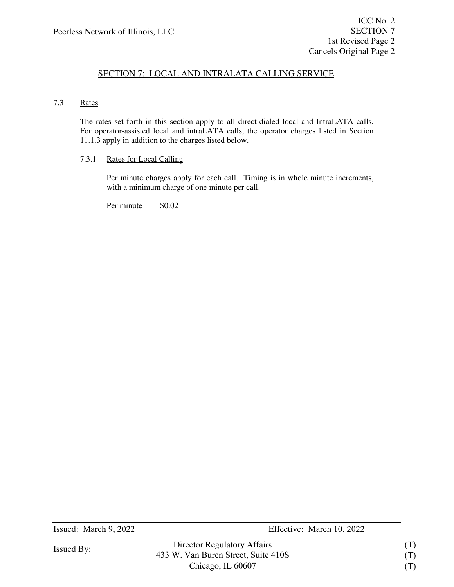## SECTION 7: LOCAL AND INTRALATA CALLING SERVICE

### 7.3 Rates

The rates set forth in this section apply to all direct-dialed local and IntraLATA calls. For operator-assisted local and intraLATA calls, the operator charges listed in Section 11.1.3 apply in addition to the charges listed below.

> Director Regulatory Affairs 433 W. Van Buren Street, Suite 410S Chicago, IL 60607

### 7.3.1 Rates for Local Calling

Per minute charges apply for each call. Timing is in whole minute increments, with a minimum charge of one minute per call.

Per minute  $$0.02$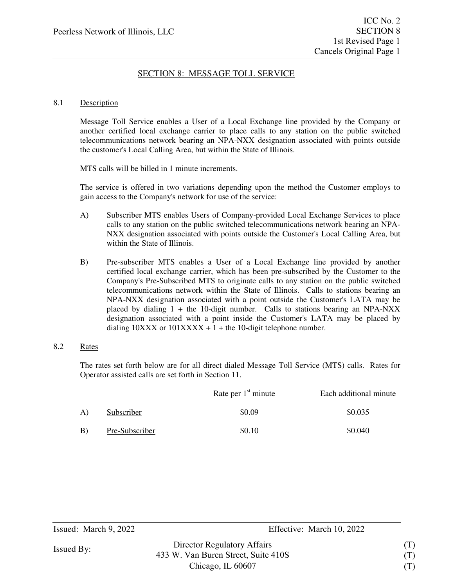## SECTION 8: MESSAGE TOLL SERVICE

#### 8.1 Description

Message Toll Service enables a User of a Local Exchange line provided by the Company or another certified local exchange carrier to place calls to any station on the public switched telecommunications network bearing an NPA-NXX designation associated with points outside the customer's Local Calling Area, but within the State of Illinois.

MTS calls will be billed in 1 minute increments.

The service is offered in two variations depending upon the method the Customer employs to gain access to the Company's network for use of the service:

- A) Subscriber MTS enables Users of Company-provided Local Exchange Services to place calls to any station on the public switched telecommunications network bearing an NPA-NXX designation associated with points outside the Customer's Local Calling Area, but within the State of Illinois.
- B) Pre-subscriber MTS enables a User of a Local Exchange line provided by another certified local exchange carrier, which has been pre-subscribed by the Customer to the Company's Pre-Subscribed MTS to originate calls to any station on the public switched telecommunications network within the State of Illinois. Calls to stations bearing an NPA-NXX designation associated with a point outside the Customer's LATA may be placed by dialing  $1 +$  the 10-digit number. Calls to stations bearing an NPA-NXX designation associated with a point inside the Customer's LATA may be placed by dialing  $10XXX$  or  $101XXX + 1 +$  the 10-digit telephone number.
- 8.2 Rates

The rates set forth below are for all direct dialed Message Toll Service (MTS) calls. Rates for Operator assisted calls are set forth in Section 11.

|    |                | Rate per $1st$ minute | Each additional minute |
|----|----------------|-----------------------|------------------------|
| A) | Subscriber     | \$0.09                | \$0.035                |
| B) | Pre-Subscriber | \$0.10                | \$0.040                |

(T) (T) (T)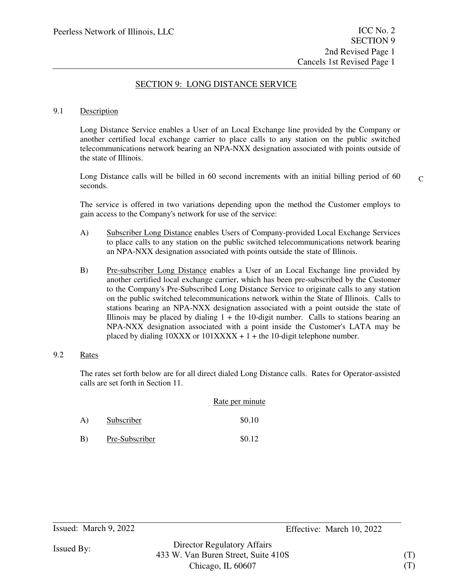## SECTION 9: LONG DISTANCE SERVICE

#### 9.1 Description

Long Distance Service enables a User of an Local Exchange line provided by the Company or another certified local exchange carrier to place calls to any station on the public switched telecommunications network bearing an NPA-NXX designation associated with points outside of the state of Illinois.

Long Distance calls will be billed in 60 second increments with an initial billing period of 60 seconds.

 $\mathcal{C}$ 

The service is offered in two variations depending upon the method the Customer employs to gain access to the Company's network for use of the service:

- A) Subscriber Long Distance enables Users of Company-provided Local Exchange Services to place calls to any station on the public switched telecommunications network bearing an NPA-NXX designation associated with points outside the state of Illinois.
- B) Pre-subscriber Long Distance enables a User of an Local Exchange line provided by another certified local exchange carrier, which has been pre-subscribed by the Customer to the Company's Pre-Subscribed Long Distance Service to originate calls to any station on the public switched telecommunications network within the State of Illinois. Calls to stations bearing an NPA-NXX designation associated with a point outside the state of Illinois may be placed by dialing  $1 +$  the 10-digit number. Calls to stations bearing an NPA-NXX designation associated with a point inside the Customer's LATA may be placed by dialing  $10XXX$  or  $101XXX + 1 +$  the 10-digit telephone number.

### 9.2 Rates

The rates set forth below are for all direct dialed Long Distance calls. Rates for Operator-assisted calls are set forth in Section 11.

|    |                | Rate per minute |
|----|----------------|-----------------|
| A) | Subscriber     | \$0.10          |
| B) | Pre-Subscriber | \$0.12          |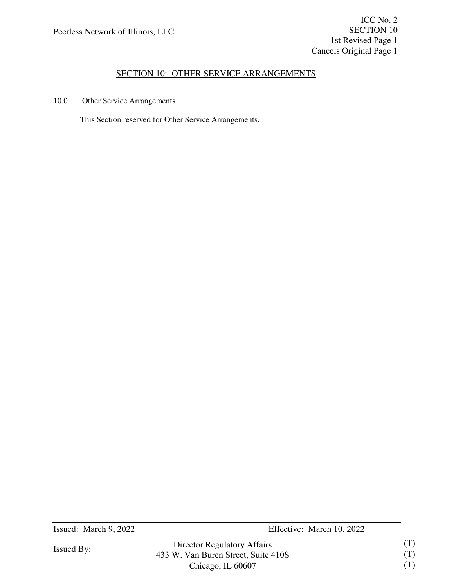## SECTION 10: OTHER SERVICE ARRANGEMENTS

### 10.0 Other Service Arrangements

This Section reserved for Other Service Arrangements.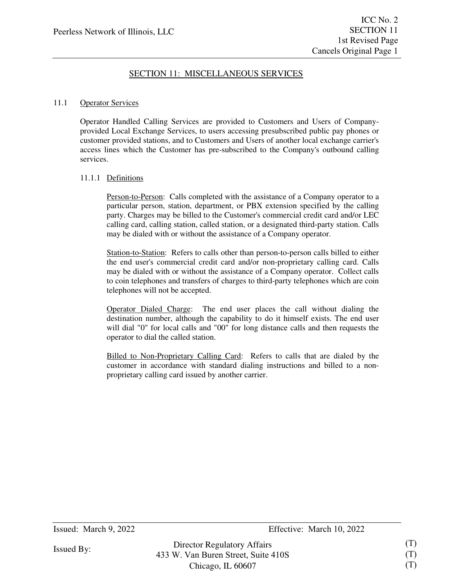#### 11.1 Operator Services

Operator Handled Calling Services are provided to Customers and Users of Companyprovided Local Exchange Services, to users accessing presubscribed public pay phones or customer provided stations, and to Customers and Users of another local exchange carrier's access lines which the Customer has pre-subscribed to the Company's outbound calling services.

#### 11.1.1 Definitions

Person-to-Person: Calls completed with the assistance of a Company operator to a particular person, station, department, or PBX extension specified by the calling party. Charges may be billed to the Customer's commercial credit card and/or LEC calling card, calling station, called station, or a designated third-party station. Calls may be dialed with or without the assistance of a Company operator.

Station-to-Station: Refers to calls other than person-to-person calls billed to either the end user's commercial credit card and/or non-proprietary calling card. Calls may be dialed with or without the assistance of a Company operator. Collect calls to coin telephones and transfers of charges to third-party telephones which are coin telephones will not be accepted.

Operator Dialed Charge: The end user places the call without dialing the destination number, although the capability to do it himself exists. The end user will dial "0" for local calls and "00" for long distance calls and then requests the operator to dial the called station.

Billed to Non-Proprietary Calling Card: Refers to calls that are dialed by the customer in accordance with standard dialing instructions and billed to a nonproprietary calling card issued by another carrier.

Issued By:

Chicago, IL 60607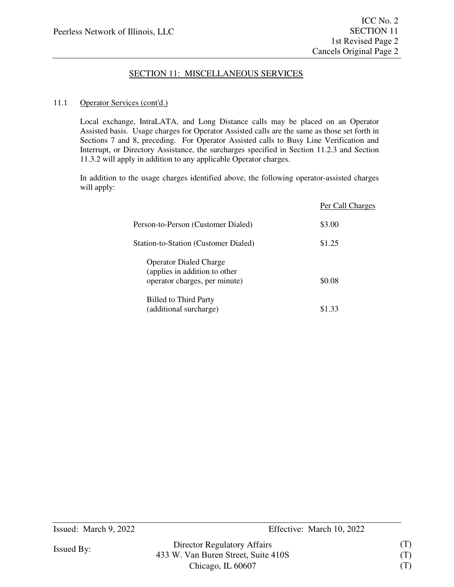### 11.1 Operator Services (cont'd.)

Local exchange, IntraLATA, and Long Distance calls may be placed on an Operator Assisted basis. Usage charges for Operator Assisted calls are the same as those set forth in Sections 7 and 8, preceding. For Operator Assisted calls to Busy Line Verification and Interrupt, or Directory Assistance, the surcharges specified in Section 11.2.3 and Section 11.3.2 will apply in addition to any applicable Operator charges.

In addition to the usage charges identified above, the following operator-assisted charges will apply:

> Director Regulatory Affairs 433 W. Van Buren Street, Suite 410S Chicago, IL 60607

|                                                                                                 | Per Call Charges |
|-------------------------------------------------------------------------------------------------|------------------|
| Person-to-Person (Customer Dialed)                                                              | \$3.00           |
| Station-to-Station (Customer Dialed)                                                            | \$1.25           |
| <b>Operator Dialed Charge</b><br>(applies in addition to other<br>operator charges, per minute) | \$0.08           |
| <b>Billed to Third Party</b><br>(additional surcharge)                                          | \$1.33           |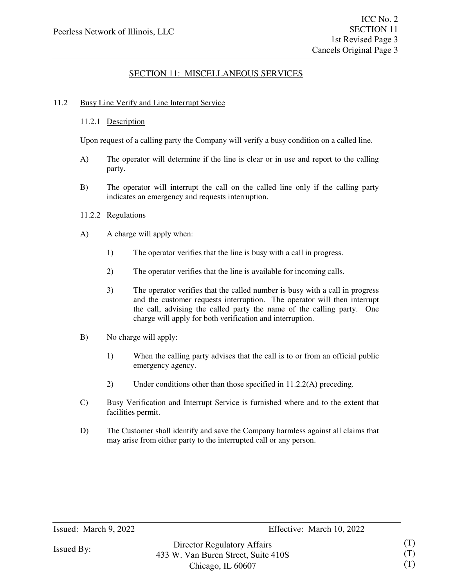### 11.2 Busy Line Verify and Line Interrupt Service

### 11.2.1 Description

Upon request of a calling party the Company will verify a busy condition on a called line.

- A) The operator will determine if the line is clear or in use and report to the calling party.
- B) The operator will interrupt the call on the called line only if the calling party indicates an emergency and requests interruption.
- 11.2.2 Regulations
- A) A charge will apply when:
	- 1) The operator verifies that the line is busy with a call in progress.
	- 2) The operator verifies that the line is available for incoming calls.
	- 3) The operator verifies that the called number is busy with a call in progress and the customer requests interruption. The operator will then interrupt the call, advising the called party the name of the calling party. One charge will apply for both verification and interruption.
- B) No charge will apply:
	- 1) When the calling party advises that the call is to or from an official public emergency agency.
	- 2) Under conditions other than those specified in 11.2.2(A) preceding.
- C) Busy Verification and Interrupt Service is furnished where and to the extent that facilities permit.
- D) The Customer shall identify and save the Company harmless against all claims that may arise from either party to the interrupted call or any person.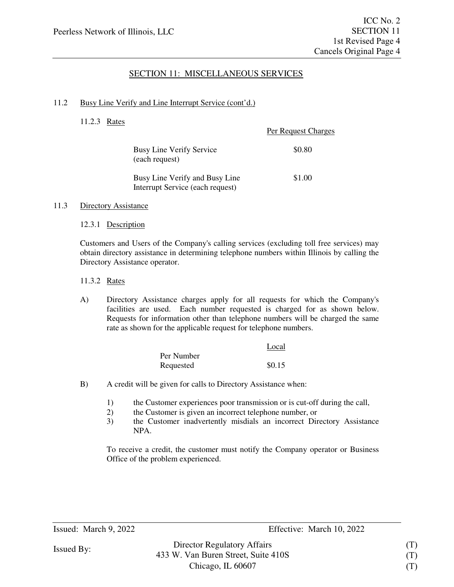#### 11.2 Busy Line Verify and Line Interrupt Service (cont'd.)

11.2.3 Rates

|                                                                    | <b>Per Request Charges</b> |
|--------------------------------------------------------------------|----------------------------|
| <b>Busy Line Verify Service</b><br>(each request)                  | \$0.80                     |
| Busy Line Verify and Busy Line<br>Interrupt Service (each request) | \$1.00                     |

#### 11.3 Directory Assistance

12.3.1 Description

Customers and Users of the Company's calling services (excluding toll free services) may obtain directory assistance in determining telephone numbers within Illinois by calling the Directory Assistance operator.

### 11.3.2 Rates

A) Directory Assistance charges apply for all requests for which the Company's facilities are used. Each number requested is charged for as shown below. Requests for information other than telephone numbers will be charged the same rate as shown for the applicable request for telephone numbers.

|            | Local  |
|------------|--------|
| Per Number |        |
| Requested  | \$0.15 |

- B) A credit will be given for calls to Directory Assistance when:
	- 1) the Customer experiences poor transmission or is cut-off during the call,
	- 2) the Customer is given an incorrect telephone number, or
	- 3) the Customer inadvertently misdials an incorrect Directory Assistance NPA.

To receive a credit, the customer must notify the Company operator or Business Office of the problem experienced.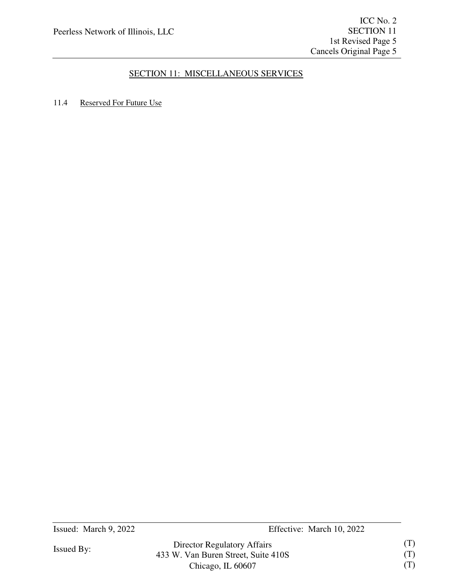## 11.4 Reserved For Future Use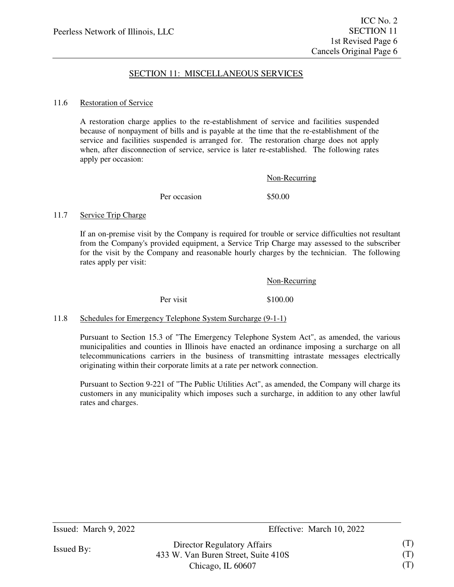#### 11.6 Restoration of Service

A restoration charge applies to the re-establishment of service and facilities suspended because of nonpayment of bills and is payable at the time that the re-establishment of the service and facilities suspended is arranged for. The restoration charge does not apply when, after disconnection of service, service is later re-established. The following rates apply per occasion:

|              | Non-Recurring |
|--------------|---------------|
| Per occasion | \$50.00       |

#### 11.7 Service Trip Charge

If an on-premise visit by the Company is required for trouble or service difficulties not resultant from the Company's provided equipment, a Service Trip Charge may assessed to the subscriber for the visit by the Company and reasonable hourly charges by the technician. The following rates apply per visit:

|           | Non-Recurring |
|-----------|---------------|
| Per visit | \$100.00      |

### 11.8 Schedules for Emergency Telephone System Surcharge (9-1-1)

Pursuant to Section 15.3 of "The Emergency Telephone System Act", as amended, the various municipalities and counties in Illinois have enacted an ordinance imposing a surcharge on all telecommunications carriers in the business of transmitting intrastate messages electrically originating within their corporate limits at a rate per network connection.

Pursuant to Section 9-221 of "The Public Utilities Act", as amended, the Company will charge its customers in any municipality which imposes such a surcharge, in addition to any other lawful rates and charges.

Director Regulatory Affairs 433 W. Van Buren Street, Suite 410S Chicago, IL 60607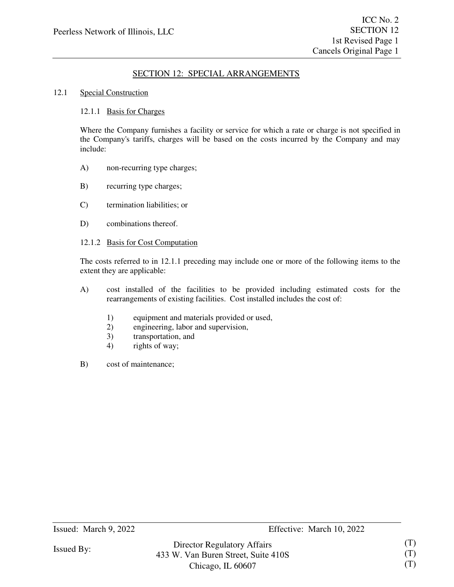#### 12.1 Special Construction

#### 12.1.1 Basis for Charges

Where the Company furnishes a facility or service for which a rate or charge is not specified in the Company's tariffs, charges will be based on the costs incurred by the Company and may include:

- A) non-recurring type charges;
- B) recurring type charges;
- C) termination liabilities; or
- D) combinations thereof.

#### 12.1.2 Basis for Cost Computation

The costs referred to in 12.1.1 preceding may include one or more of the following items to the extent they are applicable:

- A) cost installed of the facilities to be provided including estimated costs for the rearrangements of existing facilities. Cost installed includes the cost of:
	- 1) equipment and materials provided or used,
	- 2) engineering, labor and supervision,
	- 3) transportation, and
	- 4) rights of way;
- B) cost of maintenance;

Issued By:

Chicago, IL 60607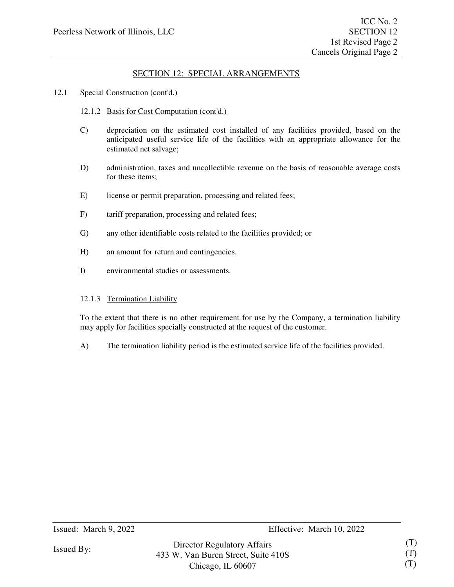### 12.1 Special Construction (cont'd.)

- 12.1.2 Basis for Cost Computation (cont'd.)
- C) depreciation on the estimated cost installed of any facilities provided, based on the anticipated useful service life of the facilities with an appropriate allowance for the estimated net salvage;
- D) administration, taxes and uncollectible revenue on the basis of reasonable average costs for these items;
- E) license or permit preparation, processing and related fees;
- F) tariff preparation, processing and related fees;
- G) any other identifiable costs related to the facilities provided; or
- H) an amount for return and contingencies.
- I) environmental studies or assessments.

#### 12.1.3 Termination Liability

To the extent that there is no other requirement for use by the Company, a termination liability may apply for facilities specially constructed at the request of the customer.

A) The termination liability period is the estimated service life of the facilities provided.

Issued By: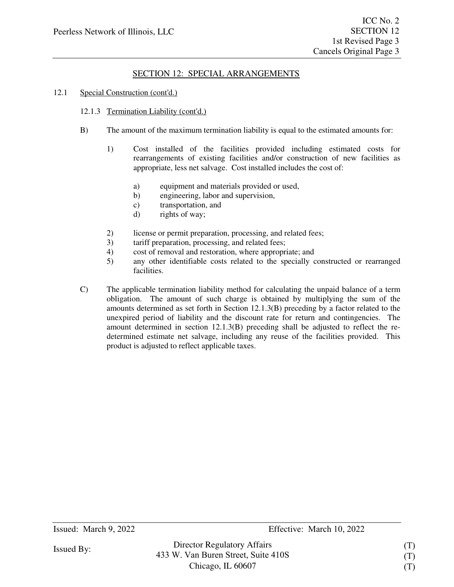#### 12.1 Special Construction (cont'd.)

#### 12.1.3 Termination Liability (cont'd.)

- B) The amount of the maximum termination liability is equal to the estimated amounts for:
	- 1) Cost installed of the facilities provided including estimated costs for rearrangements of existing facilities and/or construction of new facilities as appropriate, less net salvage. Cost installed includes the cost of:
		- a) equipment and materials provided or used,
		- b) engineering, labor and supervision,
		- c) transportation, and
		- d) rights of way;
	- 2) license or permit preparation, processing, and related fees;
	- 3) tariff preparation, processing, and related fees;
	- 4) cost of removal and restoration, where appropriate; and
	- 5) any other identifiable costs related to the specially constructed or rearranged facilities.
- C) The applicable termination liability method for calculating the unpaid balance of a term obligation. The amount of such charge is obtained by multiplying the sum of the amounts determined as set forth in Section 12.1.3(B) preceding by a factor related to the unexpired period of liability and the discount rate for return and contingencies. The amount determined in section 12.1.3(B) preceding shall be adjusted to reflect the redetermined estimate net salvage, including any reuse of the facilities provided. This product is adjusted to reflect applicable taxes.

Director Regulatory Affairs 433 W. Van Buren Street, Suite 410S Chicago, IL 60607

(T) (T) (T)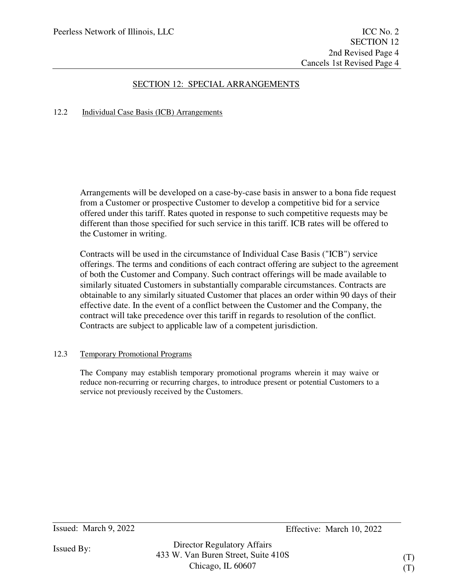### 12.2 Individual Case Basis (ICB) Arrangements

Arrangements will be developed on a case-by-case basis in answer to a bona fide request from a Customer or prospective Customer to develop a competitive bid for a service offered under this tariff. Rates quoted in response to such competitive requests may be different than those specified for such service in this tariff. ICB rates will be offered to the Customer in writing.

Contracts will be used in the circumstance of Individual Case Basis ("ICB") service offerings. The terms and conditions of each contract offering are subject to the agreement of both the Customer and Company. Such contract offerings will be made available to similarly situated Customers in substantially comparable circumstances. Contracts are obtainable to any similarly situated Customer that places an order within 90 days of their effective date. In the event of a conflict between the Customer and the Company, the contract will take precedence over this tariff in regards to resolution of the conflict. Contracts are subject to applicable law of a competent jurisdiction.

### 12.3 Temporary Promotional Programs

The Company may establish temporary promotional programs wherein it may waive or reduce non-recurring or recurring charges, to introduce present or potential Customers to a service not previously received by the Customers.

Issued: March 9, 2022 Effective: March 10, 2022